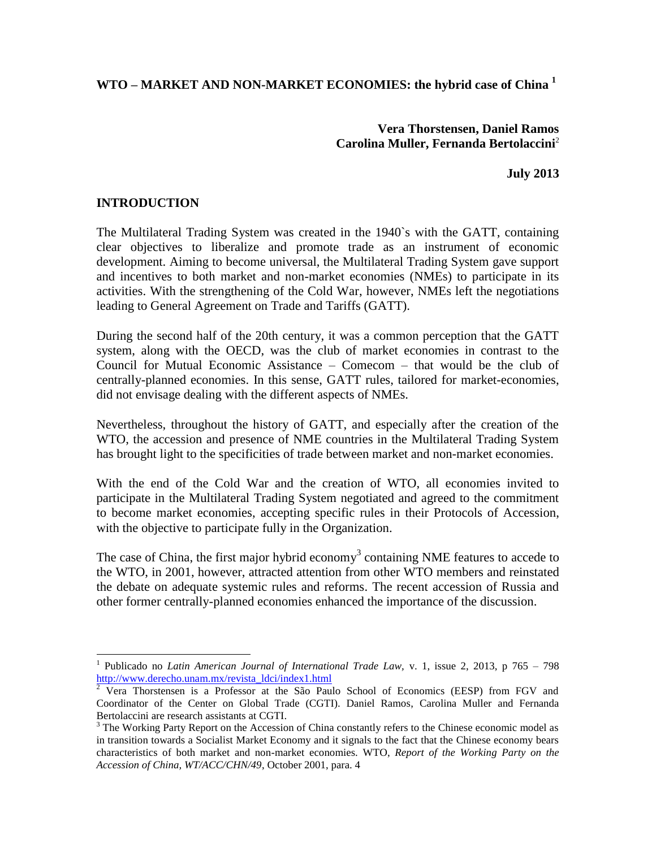**WTO – MARKET AND NON-MARKET ECONOMIES: the hybrid case of China <sup>1</sup>**

**Vera Thorstensen, Daniel Ramos Carolina Muller, Fernanda Bertolaccini**<sup>2</sup>

**July 2013**

#### **INTRODUCTION**

l

The Multilateral Trading System was created in the 1940`s with the GATT, containing clear objectives to liberalize and promote trade as an instrument of economic development. Aiming to become universal, the Multilateral Trading System gave support and incentives to both market and non-market economies (NMEs) to participate in its activities. With the strengthening of the Cold War, however, NMEs left the negotiations leading to General Agreement on Trade and Tariffs (GATT).

During the second half of the 20th century, it was a common perception that the GATT system, along with the OECD, was the club of market economies in contrast to the Council for Mutual Economic Assistance – Comecom – that would be the club of centrally-planned economies. In this sense, GATT rules, tailored for market-economies, did not envisage dealing with the different aspects of NMEs.

Nevertheless, throughout the history of GATT, and especially after the creation of the WTO, the accession and presence of NME countries in the Multilateral Trading System has brought light to the specificities of trade between market and non-market economies.

With the end of the Cold War and the creation of WTO, all economies invited to participate in the Multilateral Trading System negotiated and agreed to the commitment to become market economies, accepting specific rules in their Protocols of Accession, with the objective to participate fully in the Organization.

The case of China, the first major hybrid economy<sup>3</sup> containing NME features to accede to the WTO, in 2001, however, attracted attention from other WTO members and reinstated the debate on adequate systemic rules and reforms. The recent accession of Russia and other former centrally-planned economies enhanced the importance of the discussion.

<sup>1</sup> Publicado no *Latin American Journal of International Trade Law,* v. 1, issue 2, 2013, p 765 – 798 [http://www.derecho.unam.mx/revista\\_ldci/index1.html](http://www.derecho.unam.mx/revista_ldci/index1.html)

 $\frac{2}{3}$  Vera Thorstensen is a Professor at the São Paulo School of Economics (EESP) from FGV and Coordinator of the Center on Global Trade (CGTI). Daniel Ramos, Carolina Muller and Fernanda Bertolaccini are research assistants at CGTI.

<sup>&</sup>lt;sup>3</sup> The Working Party Report on the Accession of China constantly refers to the Chinese economic model as in transition towards a Socialist Market Economy and it signals to the fact that the Chinese economy bears characteristics of both market and non-market economies. WTO, *Report of the Working Party on the Accession of China, WT/ACC/CHN/49*, October 2001, para. 4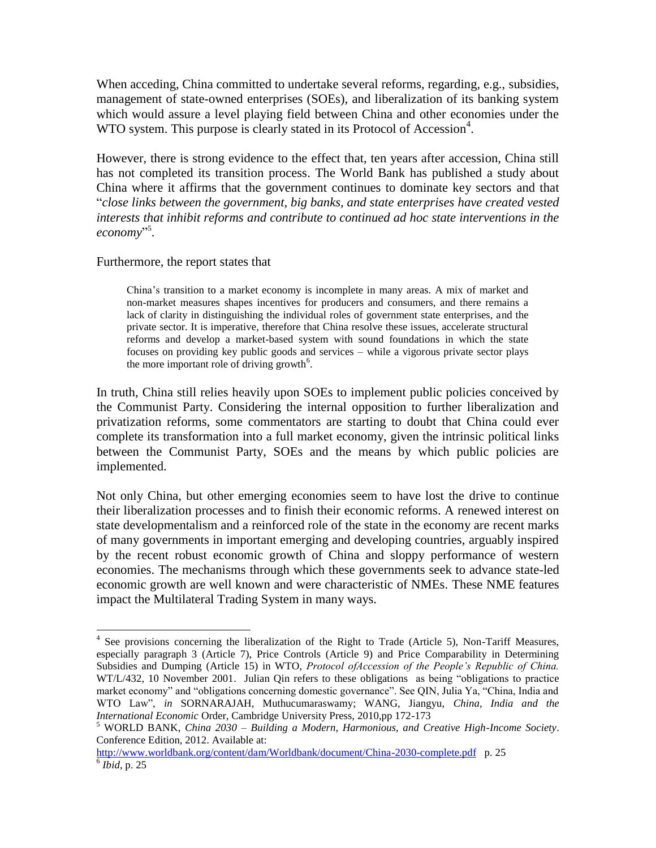When acceding, China committed to undertake several reforms, regarding, e.g., subsidies, management of state-owned enterprises (SOEs), and liberalization of its banking system which would assure a level playing field between China and other economies under the WTO system. This purpose is clearly stated in its Protocol of Accession<sup>4</sup>.

However, there is strong evidence to the effect that, ten years after accession, China still has not completed its transition process. The World Bank has published a study about China where it affirms that the government continues to dominate key sectors and that "*close links between the government, big banks, and state enterprises have created vested interests that inhibit reforms and contribute to continued ad hoc state interventions in the economy*" 5 .

#### Furthermore, the report states that

l

China's transition to a market economy is incomplete in many areas. A mix of market and non-market measures shapes incentives for producers and consumers, and there remains a lack of clarity in distinguishing the individual roles of government state enterprises, and the private sector. It is imperative, therefore that China resolve these issues, accelerate structural reforms and develop a market-based system with sound foundations in which the state focuses on providing key public goods and services – while a vigorous private sector plays the more important role of driving growth<sup>6</sup>.

In truth, China still relies heavily upon SOEs to implement public policies conceived by the Communist Party. Considering the internal opposition to further liberalization and privatization reforms, some commentators are starting to doubt that China could ever complete its transformation into a full market economy, given the intrinsic political links between the Communist Party, SOEs and the means by which public policies are implemented.

Not only China, but other emerging economies seem to have lost the drive to continue their liberalization processes and to finish their economic reforms. A renewed interest on state developmentalism and a reinforced role of the state in the economy are recent marks of many governments in important emerging and developing countries, arguably inspired by the recent robust economic growth of China and sloppy performance of western economies. The mechanisms through which these governments seek to advance state-led economic growth are well known and were characteristic of NMEs. These NME features impact the Multilateral Trading System in many ways.

<sup>&</sup>lt;sup>4</sup> See provisions concerning the liberalization of the Right to Trade (Article 5), Non-Tariff Measures, especially paragraph 3 (Article 7), Price Controls (Article 9) and Price Comparability in Determining Subsidies and Dumping (Article 15) in WTO, *Protocol ofAccession of the People's Republic of China.* WT/L/432, 10 November 2001. Julian Qin refers to these obligations as being "obligations to practice market economy" and "obligations concerning domestic governance". See QIN, Julia Ya, "China, India and WTO Law", *in* SORNARAJAH, Muthucumaraswamy; WANG, Jiangyu, *China, India and the International Economic* Order, Cambridge University Press, 2010,pp 172-173

<sup>5</sup> WORLD BANK, *China 2030 – Building a Modern, Harmonious, and Creative High-Income Society*. Conference Edition, 2012. Available at:

<http://www.worldbank.org/content/dam/Worldbank/document/China-2030-complete.pdf> p. 25 6 *Ibid*, p. 25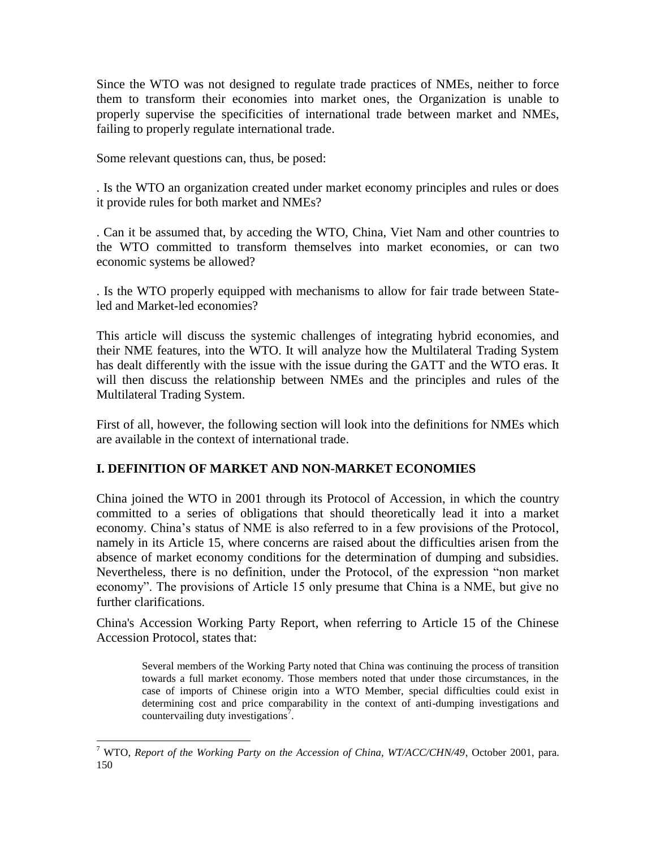Since the WTO was not designed to regulate trade practices of NMEs, neither to force them to transform their economies into market ones, the Organization is unable to properly supervise the specificities of international trade between market and NMEs, failing to properly regulate international trade.

Some relevant questions can, thus, be posed:

. Is the WTO an organization created under market economy principles and rules or does it provide rules for both market and NMEs?

. Can it be assumed that, by acceding the WTO, China, Viet Nam and other countries to the WTO committed to transform themselves into market economies, or can two economic systems be allowed?

. Is the WTO properly equipped with mechanisms to allow for fair trade between Stateled and Market-led economies?

This article will discuss the systemic challenges of integrating hybrid economies, and their NME features, into the WTO. It will analyze how the Multilateral Trading System has dealt differently with the issue with the issue during the GATT and the WTO eras. It will then discuss the relationship between NMEs and the principles and rules of the Multilateral Trading System.

First of all, however, the following section will look into the definitions for NMEs which are available in the context of international trade.

# **I. DEFINITION OF MARKET AND NON-MARKET ECONOMIES**

China joined the WTO in 2001 through its Protocol of Accession, in which the country committed to a series of obligations that should theoretically lead it into a market economy. China's status of NME is also referred to in a few provisions of the Protocol, namely in its Article 15, where concerns are raised about the difficulties arisen from the absence of market economy conditions for the determination of dumping and subsidies. Nevertheless, there is no definition, under the Protocol, of the expression "non market economy". The provisions of Article 15 only presume that China is a NME, but give no further clarifications.

China's Accession Working Party Report, when referring to Article 15 of the Chinese Accession Protocol, states that:

Several members of the Working Party noted that China was continuing the process of transition towards a full market economy. Those members noted that under those circumstances, in the case of imports of Chinese origin into a WTO Member, special difficulties could exist in determining cost and price comparability in the context of anti-dumping investigations and countervailing duty investigations<sup>7</sup>.

l <sup>7</sup> WTO, *Report of the Working Party on the Accession of China, WT/ACC/CHN/49*, October 2001, para. 150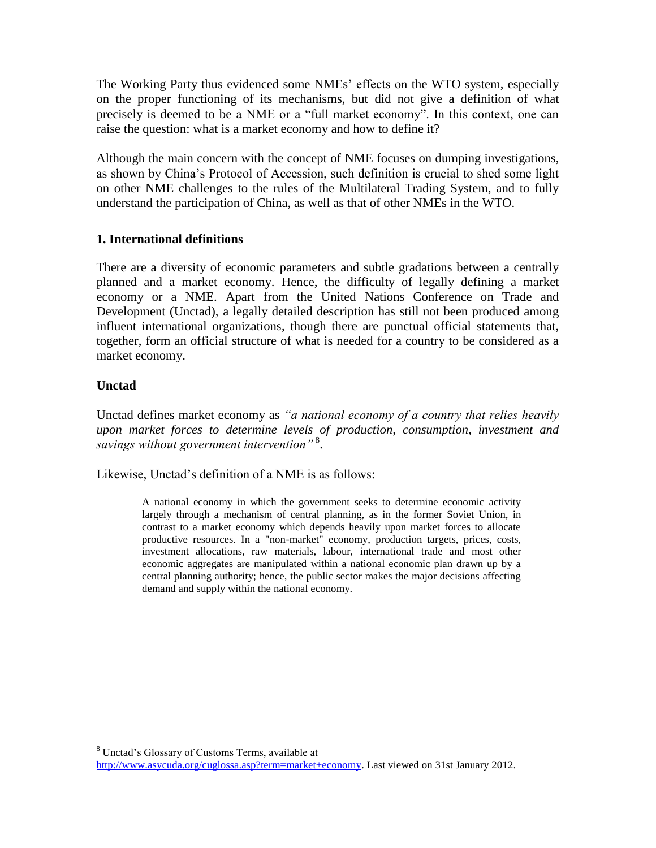The Working Party thus evidenced some NMEs' effects on the WTO system, especially on the proper functioning of its mechanisms, but did not give a definition of what precisely is deemed to be a NME or a "full market economy". In this context, one can raise the question: what is a market economy and how to define it?

Although the main concern with the concept of NME focuses on dumping investigations, as shown by China's Protocol of Accession, such definition is crucial to shed some light on other NME challenges to the rules of the Multilateral Trading System, and to fully understand the participation of China, as well as that of other NMEs in the WTO.

# **1. International definitions**

There are a diversity of economic parameters and subtle gradations between a centrally planned and a market economy. Hence, the difficulty of legally defining a market economy or a NME. Apart from the United Nations Conference on Trade and Development (Unctad), a legally detailed description has still not been produced among influent international organizations, though there are punctual official statements that, together, form an official structure of what is needed for a country to be considered as a market economy.

# **Unctad**

l

Unctad defines market economy as *"a national economy of a country that relies heavily upon market forces to determine levels of production, consumption, investment and savings without government intervention"* <sup>8</sup> .

Likewise, Unctad's definition of a NME is as follows:

A national economy in which the government seeks to determine economic activity largely through a mechanism of central planning, as in the former Soviet Union, in contrast to a market economy which depends heavily upon market forces to allocate productive resources. In a "non-market" economy, production targets, prices, costs, investment allocations, raw materials, labour, international trade and most other economic aggregates are manipulated within a national economic plan drawn up by a central planning authority; hence, the public sector makes the major decisions affecting demand and supply within the national economy.

<sup>8</sup> Unctad's Glossary of Customs Terms, available at [http://www.asycuda.org/cuglossa.asp?term=market+economy.](http://www.asycuda.org/cuglossa.asp?term=market+economy) Last viewed on 31st January 2012.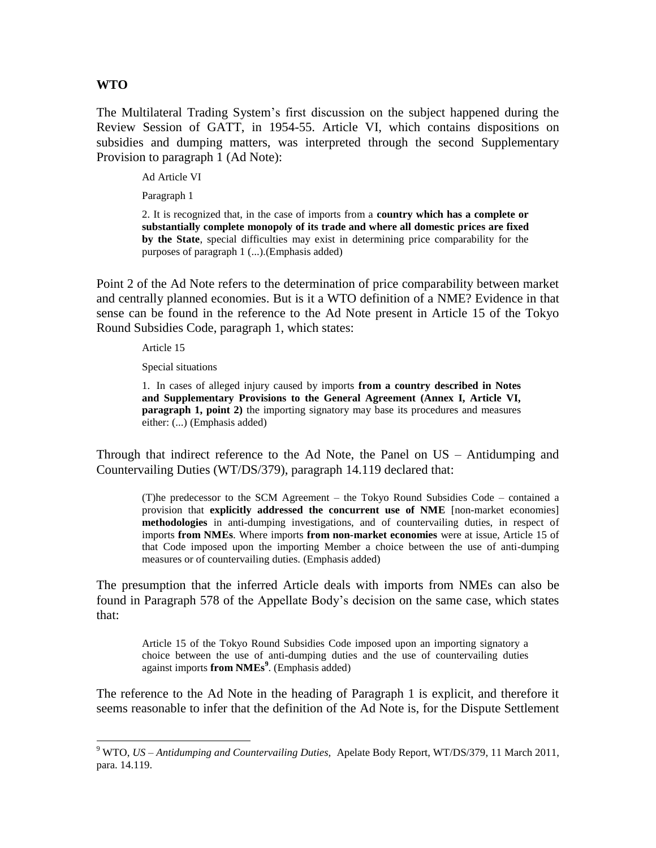#### **WTO**

l

The Multilateral Trading System's first discussion on the subject happened during the Review Session of GATT, in 1954-55. Article VI, which contains dispositions on subsidies and dumping matters, was interpreted through the second Supplementary Provision to paragraph 1 (Ad Note):

Ad Article VI

Paragraph 1

2. It is recognized that, in the case of imports from a **country which has a complete or substantially complete monopoly of its trade and where all domestic prices are fixed by the State**, special difficulties may exist in determining price comparability for the purposes of paragraph 1 (...).(Emphasis added)

Point 2 of the Ad Note refers to the determination of price comparability between market and centrally planned economies. But is it a WTO definition of a NME? Evidence in that sense can be found in the reference to the Ad Note present in Article 15 of the Tokyo Round Subsidies Code, paragraph 1, which states:

Article 15

Special situations

1. In cases of alleged injury caused by imports **from a country described in Notes and Supplementary Provisions to the General Agreement (Annex I, Article VI, paragraph 1, point 2)** the importing signatory may base its procedures and measures either: (...) (Emphasis added)

Through that indirect reference to the Ad Note, the Panel on US – Antidumping and Countervailing Duties (WT/DS/379), paragraph 14.119 declared that:

(T)he predecessor to the SCM Agreement – the Tokyo Round Subsidies Code – contained a provision that **explicitly addressed the concurrent use of NME** [non-market economies] **methodologies** in anti-dumping investigations, and of countervailing duties, in respect of imports **from NMEs**. Where imports **from non-market economies** were at issue, Article 15 of that Code imposed upon the importing Member a choice between the use of anti-dumping measures or of countervailing duties. (Emphasis added)

The presumption that the inferred Article deals with imports from NMEs can also be found in Paragraph 578 of the Appellate Body's decision on the same case, which states that:

Article 15 of the Tokyo Round Subsidies Code imposed upon an importing signatory a choice between the use of anti-dumping duties and the use of countervailing duties against imports **from NMEs<sup>9</sup>** . (Emphasis added)

The reference to the Ad Note in the heading of Paragraph 1 is explicit, and therefore it seems reasonable to infer that the definition of the Ad Note is, for the Dispute Settlement

<sup>9</sup> WTO, *US – Antidumping and Countervailing Duties,* Apelate Body Report, WT/DS/379, 11 March 2011, para. 14.119.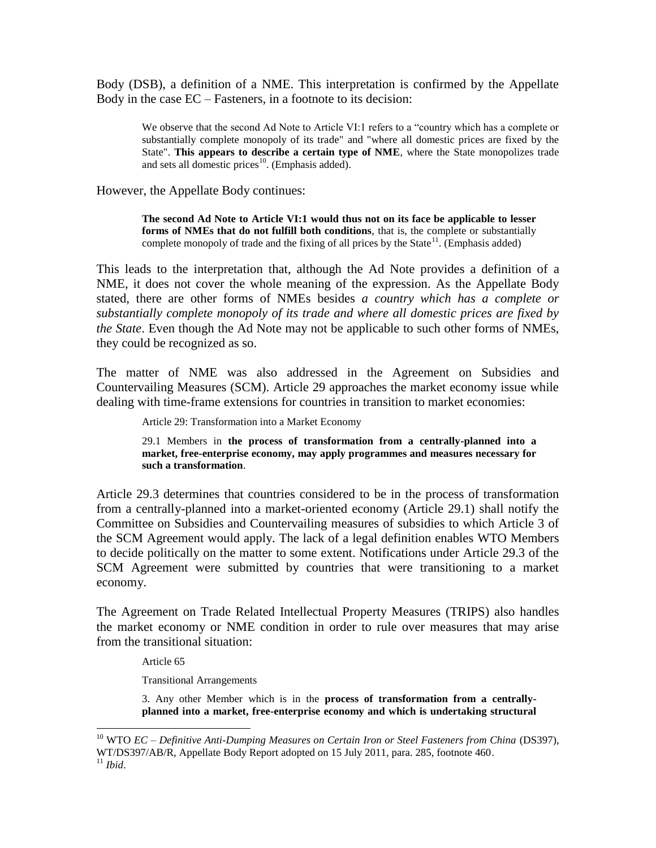Body (DSB), a definition of a NME. This interpretation is confirmed by the Appellate Body in the case EC – Fasteners, in a footnote to its decision:

We observe that the second Ad Note to Article VI:1 refers to a "country which has a complete or substantially complete monopoly of its trade" and "where all domestic prices are fixed by the State". **This appears to describe a certain type of NME**, where the State monopolizes trade and sets all domestic prices<sup>10</sup>. (Emphasis added).

However, the Appellate Body continues:

**The second Ad Note to Article VI:1 would thus not on its face be applicable to lesser forms of NMEs that do not fulfill both conditions**, that is, the complete or substantially complete monopoly of trade and the fixing of all prices by the State<sup>11</sup>. (Emphasis added)

This leads to the interpretation that, although the Ad Note provides a definition of a NME, it does not cover the whole meaning of the expression. As the Appellate Body stated, there are other forms of NMEs besides *a country which has a complete or substantially complete monopoly of its trade and where all domestic prices are fixed by the State*. Even though the Ad Note may not be applicable to such other forms of NMEs, they could be recognized as so.

The matter of NME was also addressed in the Agreement on Subsidies and Countervailing Measures (SCM). Article 29 approaches the market economy issue while dealing with time-frame extensions for countries in transition to market economies:

Article 29: Transformation into a Market Economy

29.1 Members in **the process of transformation from a centrally-planned into a market, free-enterprise economy, may apply programmes and measures necessary for such a transformation**.

Article 29.3 determines that countries considered to be in the process of transformation from a centrally-planned into a market-oriented economy (Article 29.1) shall notify the Committee on Subsidies and Countervailing measures of subsidies to which Article 3 of the SCM Agreement would apply. The lack of a legal definition enables WTO Members to decide politically on the matter to some extent. Notifications under Article 29.3 of the SCM Agreement were submitted by countries that were transitioning to a market economy.

The Agreement on Trade Related Intellectual Property Measures (TRIPS) also handles the market economy or NME condition in order to rule over measures that may arise from the transitional situation:

Article 65

l

Transitional Arrangements

3. Any other Member which is in the **process of transformation from a centrallyplanned into a market, free-enterprise economy and which is undertaking structural** 

<sup>&</sup>lt;sup>10</sup> WTO *EC* – *Definitive Anti-Dumping Measures on Certain Iron or Steel Fasteners from China* (DS397), WT/DS397/AB/R, Appellate Body Report adopted on 15 July 2011, para. 285, footnote 460. <sup>11</sup> *Ibid*.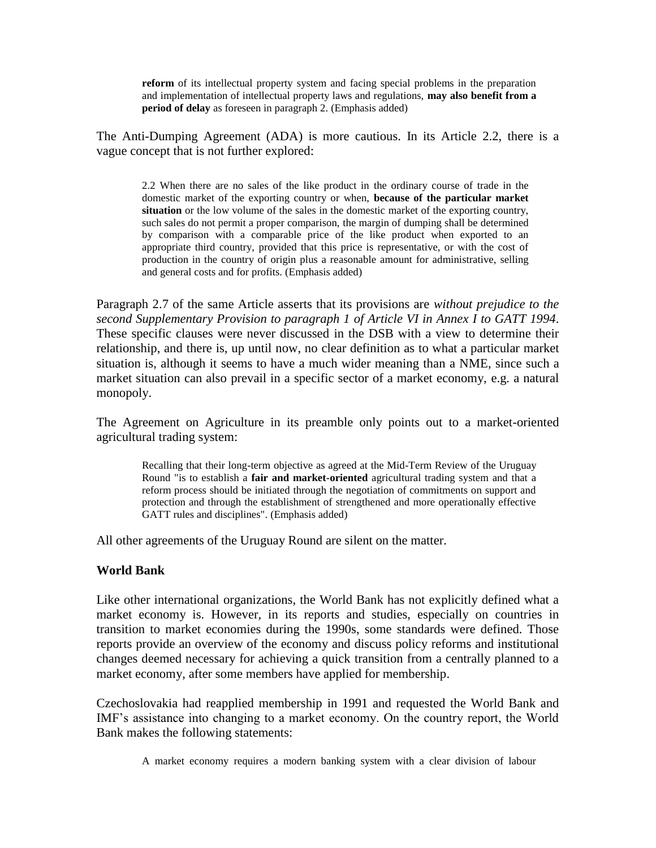**reform** of its intellectual property system and facing special problems in the preparation and implementation of intellectual property laws and regulations, **may also benefit from a period of delay** as foreseen in paragraph 2. (Emphasis added)

The Anti-Dumping Agreement (ADA) is more cautious. In its Article 2.2, there is a vague concept that is not further explored:

2.2 When there are no sales of the like product in the ordinary course of trade in the domestic market of the exporting country or when, **because of the particular market situation** or the low volume of the sales in the domestic market of the exporting country, such sales do not permit a proper comparison, the margin of dumping shall be determined by comparison with a comparable price of the like product when exported to an appropriate third country, provided that this price is representative, or with the cost of production in the country of origin plus a reasonable amount for administrative, selling and general costs and for profits. (Emphasis added)

Paragraph 2.7 of the same Article asserts that its provisions are *without prejudice to the second Supplementary Provision to paragraph 1 of Article VI in Annex I to GATT 1994*. These specific clauses were never discussed in the DSB with a view to determine their relationship, and there is, up until now, no clear definition as to what a particular market situation is, although it seems to have a much wider meaning than a NME, since such a market situation can also prevail in a specific sector of a market economy, e.g. a natural monopoly.

The Agreement on Agriculture in its preamble only points out to a market-oriented agricultural trading system:

Recalling that their long-term objective as agreed at the Mid-Term Review of the Uruguay Round "is to establish a **fair and market-oriented** agricultural trading system and that a reform process should be initiated through the negotiation of commitments on support and protection and through the establishment of strengthened and more operationally effective GATT rules and disciplines". (Emphasis added)

All other agreements of the Uruguay Round are silent on the matter.

#### **World Bank**

Like other international organizations, the World Bank has not explicitly defined what a market economy is. However, in its reports and studies, especially on countries in transition to market economies during the 1990s, some standards were defined. Those reports provide an overview of the economy and discuss policy reforms and institutional changes deemed necessary for achieving a quick transition from a centrally planned to a market economy, after some members have applied for membership.

Czechoslovakia had reapplied membership in 1991 and requested the World Bank and IMF's assistance into changing to a market economy. On the country report, the World Bank makes the following statements:

A market economy requires a modern banking system with a clear division of labour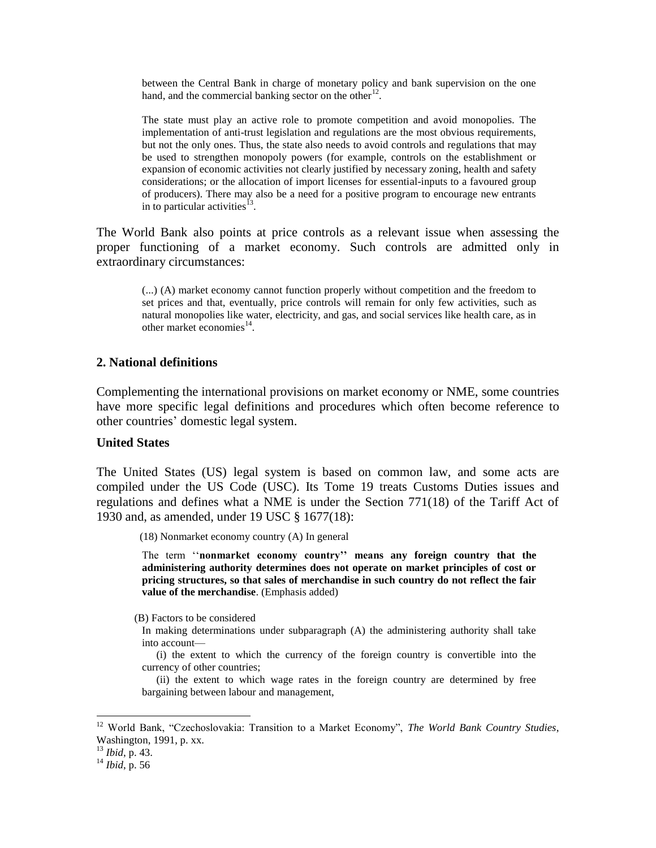between the Central Bank in charge of monetary policy and bank supervision on the one hand, and the commercial banking sector on the other $12$ .

The state must play an active role to promote competition and avoid monopolies. The implementation of anti-trust legislation and regulations are the most obvious requirements, but not the only ones. Thus, the state also needs to avoid controls and regulations that may be used to strengthen monopoly powers (for example, controls on the establishment or expansion of economic activities not clearly justified by necessary zoning, health and safety considerations; or the allocation of import licenses for essential-inputs to a favoured group of producers). There may also be a need for a positive program to encourage new entrants in to particular activities  $^{13}$ .

The World Bank also points at price controls as a relevant issue when assessing the proper functioning of a market economy. Such controls are admitted only in extraordinary circumstances:

(...) (A) market economy cannot function properly without competition and the freedom to set prices and that, eventually, price controls will remain for only few activities, such as natural monopolies like water, electricity, and gas, and social services like health care, as in other market economies $^{14}$ .

#### **2. National definitions**

Complementing the international provisions on market economy or NME, some countries have more specific legal definitions and procedures which often become reference to other countries' domestic legal system.

#### **United States**

The United States (US) legal system is based on common law, and some acts are compiled under the US Code (USC). Its Tome 19 treats Customs Duties issues and regulations and defines what a NME is under the Section 771(18) of the Tariff Act of 1930 and, as amended, under 19 USC § 1677(18):

(18) Nonmarket economy country (A) In general

The term ''**nonmarket economy country'' means any foreign country that the administering authority determines does not operate on market principles of cost or pricing structures, so that sales of merchandise in such country do not reflect the fair value of the merchandise**. (Emphasis added)

(B) Factors to be considered

In making determinations under subparagraph (A) the administering authority shall take into account—

(i) the extent to which the currency of the foreign country is convertible into the currency of other countries;

(ii) the extent to which wage rates in the foreign country are determined by free bargaining between labour and management,

 $\overline{\phantom{a}}$ 

<sup>12</sup> World Bank, "Czechoslovakia: Transition to a Market Economy", *The World Bank Country Studies*, Washington, 1991, p. xx.

<sup>13</sup> *Ibid*, p. 43.

<sup>14</sup> *Ibid*, p. 56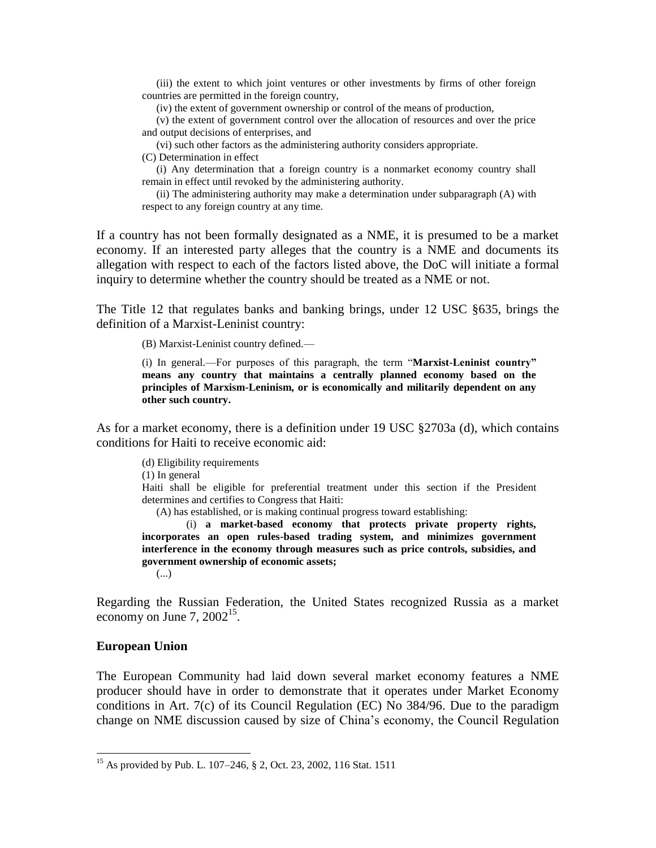(iii) the extent to which joint ventures or other investments by firms of other foreign countries are permitted in the foreign country,

(iv) the extent of government ownership or control of the means of production,

(v) the extent of government control over the allocation of resources and over the price and output decisions of enterprises, and

(vi) such other factors as the administering authority considers appropriate.

(C) Determination in effect

(i) Any determination that a foreign country is a nonmarket economy country shall remain in effect until revoked by the administering authority.

(ii) The administering authority may make a determination under subparagraph (A) with respect to any foreign country at any time.

If a country has not been formally designated as a NME, it is presumed to be a market economy. If an interested party alleges that the country is a NME and documents its allegation with respect to each of the factors listed above, the DoC will initiate a formal inquiry to determine whether the country should be treated as a NME or not.

The Title 12 that regulates banks and banking brings, under 12 USC §635, brings the definition of a Marxist-Leninist country:

(B) Marxist-Leninist country defined.—

(i) In general.—For purposes of this paragraph, the term "**Marxist-Leninist country" means any country that maintains a centrally planned economy based on the principles of Marxism-Leninism, or is economically and militarily dependent on any other such country.**

As for a market economy, there is a definition under 19 USC §2703a (d), which contains conditions for Haiti to receive economic aid:

(d) Eligibility requirements (1) In general Haiti shall be eligible for preferential treatment under this section if the President determines and certifies to Congress that Haiti: (A) has established, or is making continual progress toward establishing: (i) **a market-based economy that protects private property rights, incorporates an open rules-based trading system, and minimizes government interference in the economy through measures such as price controls, subsidies, and government ownership of economic assets;** (...)

Regarding the Russian Federation, the United States recognized Russia as a market economy on June 7,  $2002^{15}$ .

#### **European Union**

 $\overline{\phantom{a}}$ 

The European Community had laid down several market economy features a NME producer should have in order to demonstrate that it operates under Market Economy conditions in Art. 7(c) of its Council Regulation (EC) No 384/96. Due to the paradigm change on NME discussion caused by size of China's economy, the Council Regulation

<sup>&</sup>lt;sup>15</sup> As provided by Pub. L. 107–246, § 2, Oct. 23, 2002, 116 Stat. 1511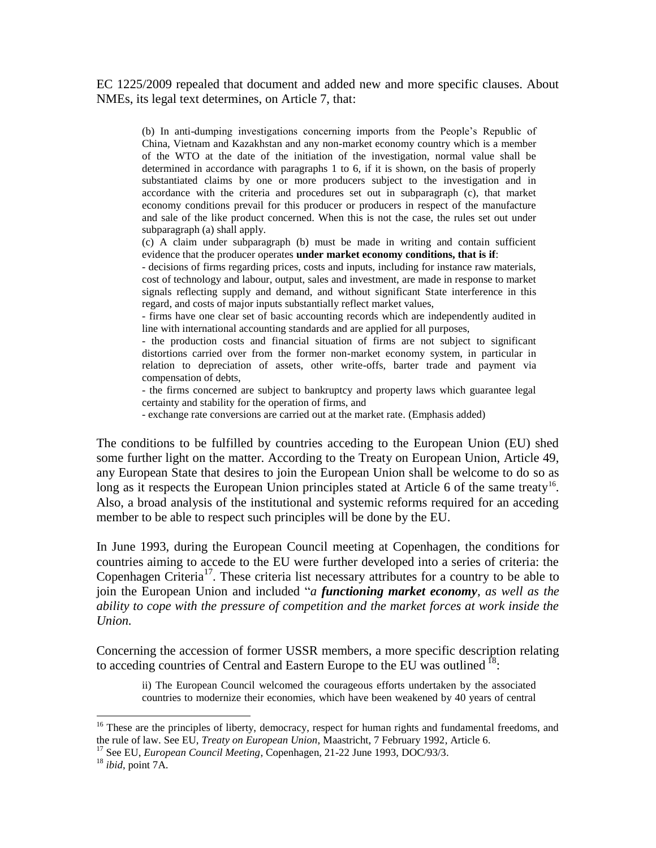EC 1225/2009 repealed that document and added new and more specific clauses. About NMEs, its legal text determines, on Article 7, that:

(b) In anti-dumping investigations concerning imports from the People's Republic of China, Vietnam and Kazakhstan and any non-market economy country which is a member of the WTO at the date of the initiation of the investigation, normal value shall be determined in accordance with paragraphs 1 to 6, if it is shown, on the basis of properly substantiated claims by one or more producers subject to the investigation and in accordance with the criteria and procedures set out in subparagraph (c), that market economy conditions prevail for this producer or producers in respect of the manufacture and sale of the like product concerned. When this is not the case, the rules set out under subparagraph (a) shall apply.

(c) A claim under subparagraph (b) must be made in writing and contain sufficient evidence that the producer operates **under market economy conditions, that is if**:

- decisions of firms regarding prices, costs and inputs, including for instance raw materials, cost of technology and labour, output, sales and investment, are made in response to market signals reflecting supply and demand, and without significant State interference in this regard, and costs of major inputs substantially reflect market values,

- firms have one clear set of basic accounting records which are independently audited in line with international accounting standards and are applied for all purposes,

- the production costs and financial situation of firms are not subject to significant distortions carried over from the former non-market economy system, in particular in relation to depreciation of assets, other write-offs, barter trade and payment via compensation of debts,

- the firms concerned are subject to bankruptcy and property laws which guarantee legal certainty and stability for the operation of firms, and

- exchange rate conversions are carried out at the market rate. (Emphasis added)

The conditions to be fulfilled by countries acceding to the European Union (EU) shed some further light on the matter. According to the Treaty on European Union, Article 49, any European State that desires to join the European Union shall be welcome to do so as long as it respects the European Union principles stated at Article 6 of the same treaty<sup>16</sup>. Also, a broad analysis of the institutional and systemic reforms required for an acceding member to be able to respect such principles will be done by the EU.

In June 1993, during the European Council meeting at Copenhagen, the conditions for countries aiming to accede to the EU were further developed into a series of criteria: the Copenhagen Criteria<sup>17</sup>. These criteria list necessary attributes for a country to be able to join the European Union and included "*a functioning market economy, as well as the ability to cope with the pressure of competition and the market forces at work inside the Union.*

Concerning the accession of former USSR members, a more specific description relating to acceding countries of Central and Eastern Europe to the EU was outlined  $^{18}$ .

ii) The European Council welcomed the courageous efforts undertaken by the associated countries to modernize their economies, which have been weakened by 40 years of central

 $\overline{\phantom{a}}$ 

<sup>&</sup>lt;sup>16</sup> These are the principles of liberty, democracy, respect for human rights and fundamental freedoms, and the rule of law. See EU, *Treaty on European Union*, Maastricht, 7 February 1992, Article 6.

<sup>&</sup>lt;sup>17</sup> See EU, *European Council Meeting*, Copenhagen, 21-22 June 1993, DOC/93/3.

<sup>18</sup> *ibid*, point 7A.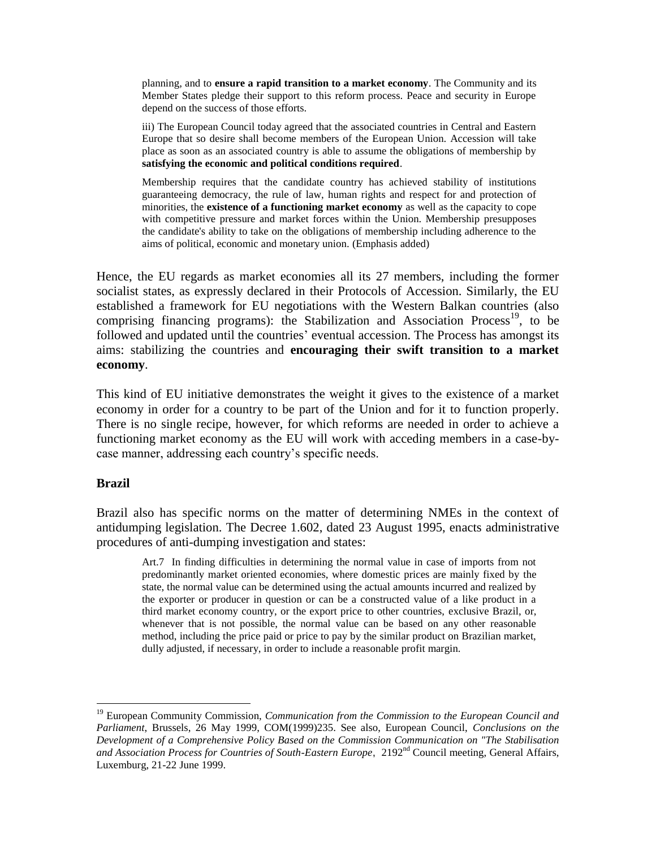planning, and to **ensure a rapid transition to a market economy**. The Community and its Member States pledge their support to this reform process. Peace and security in Europe depend on the success of those efforts.

iii) The European Council today agreed that the associated countries in Central and Eastern Europe that so desire shall become members of the European Union. Accession will take place as soon as an associated country is able to assume the obligations of membership by **satisfying the economic and political conditions required**.

Membership requires that the candidate country has achieved stability of institutions guaranteeing democracy, the rule of law, human rights and respect for and protection of minorities, the **existence of a functioning market economy** as well as the capacity to cope with competitive pressure and market forces within the Union. Membership presupposes the candidate's ability to take on the obligations of membership including adherence to the aims of political, economic and monetary union. (Emphasis added)

Hence, the EU regards as market economies all its 27 members, including the former socialist states, as expressly declared in their Protocols of Accession. Similarly, the EU established a framework for EU negotiations with the Western Balkan countries (also comprising financing programs): the Stabilization and Association Process<sup>19</sup>, to be followed and updated until the countries' eventual accession. The Process has amongst its aims: stabilizing the countries and **encouraging their swift transition to a market economy**.

This kind of EU initiative demonstrates the weight it gives to the existence of a market economy in order for a country to be part of the Union and for it to function properly. There is no single recipe, however, for which reforms are needed in order to achieve a functioning market economy as the EU will work with acceding members in a case-bycase manner, addressing each country's specific needs.

#### **Brazil**

 $\overline{a}$ 

Brazil also has specific norms on the matter of determining NMEs in the context of antidumping legislation. The Decree 1.602, dated 23 August 1995, enacts administrative procedures of anti-dumping investigation and states:

Art.7 In finding difficulties in determining the normal value in case of imports from not predominantly market oriented economies, where domestic prices are mainly fixed by the state, the normal value can be determined using the actual amounts incurred and realized by the exporter or producer in question or can be a constructed value of a like product in a third market economy country, or the export price to other countries, exclusive Brazil, or, whenever that is not possible, the normal value can be based on any other reasonable method, including the price paid or price to pay by the similar product on Brazilian market, dully adjusted, if necessary, in order to include a reasonable profit margin.

<sup>19</sup> European Community Commission, *Communication from the Commission to the European Council and Parliament*, Brussels, 26 May 1999, COM(1999)235. See also, European Council, *Conclusions on the Development of a Comprehensive Policy Based on the Commission Communication on "The Stabilisation*  and Association Process for Countries of South-Eastern Europe, 2192<sup>nd</sup> Council meeting, General Affairs, Luxemburg, 21-22 June 1999.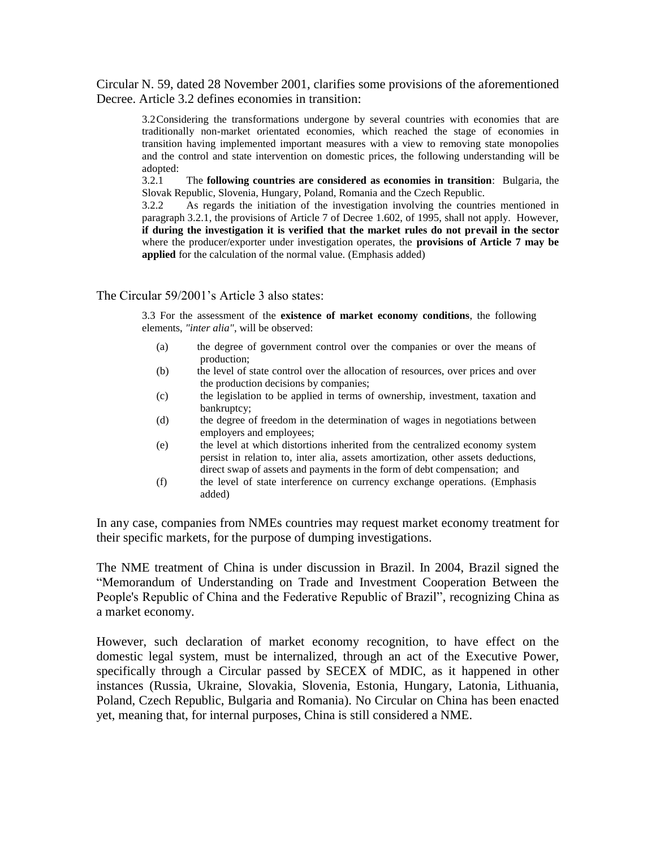Circular N. 59, dated 28 November 2001, clarifies some provisions of the aforementioned Decree. Article 3.2 defines economies in transition:

3.2Considering the transformations undergone by several countries with economies that are traditionally non-market orientated economies, which reached the stage of economies in transition having implemented important measures with a view to removing state monopolies and the control and state intervention on domestic prices, the following understanding will be adopted:

3.2.1 The **following countries are considered as economies in transition**: Bulgaria, the Slovak Republic, Slovenia, Hungary, Poland, Romania and the Czech Republic.

3.2.2 As regards the initiation of the investigation involving the countries mentioned in paragraph 3.2.1, the provisions of Article 7 of Decree 1.602, of 1995, shall not apply. However, **if during the investigation it is verified that the market rules do not prevail in the sector** where the producer/exporter under investigation operates, the **provisions of Article 7 may be applied** for the calculation of the normal value. (Emphasis added)

#### The Circular 59/2001's Article 3 also states:

3.3 For the assessment of the **existence of market economy conditions**, the following elements, *"inter alia"*, will be observed:

- (a) the degree of government control over the companies or over the means of production;
- (b) the level of state control over the allocation of resources, over prices and over the production decisions by companies;
- (c) the legislation to be applied in terms of ownership, investment, taxation and bankruptcy;
- (d) the degree of freedom in the determination of wages in negotiations between employers and employees;
- (e) the level at which distortions inherited from the centralized economy system persist in relation to, inter alia, assets amortization, other assets deductions, direct swap of assets and payments in the form of debt compensation; and
- (f) the level of state interference on currency exchange operations. (Emphasis added)

In any case, companies from NMEs countries may request market economy treatment for their specific markets, for the purpose of dumping investigations.

The NME treatment of China is under discussion in Brazil. In 2004, Brazil signed the "Memorandum of Understanding on Trade and Investment Cooperation Between the People's Republic of China and the Federative Republic of Brazil", recognizing China as a market economy.

However, such declaration of market economy recognition, to have effect on the domestic legal system, must be internalized, through an act of the Executive Power, specifically through a Circular passed by SECEX of MDIC, as it happened in other instances (Russia, Ukraine, Slovakia, Slovenia, Estonia, Hungary, Latonia, Lithuania, Poland, Czech Republic, Bulgaria and Romania). No Circular on China has been enacted yet, meaning that, for internal purposes, China is still considered a NME.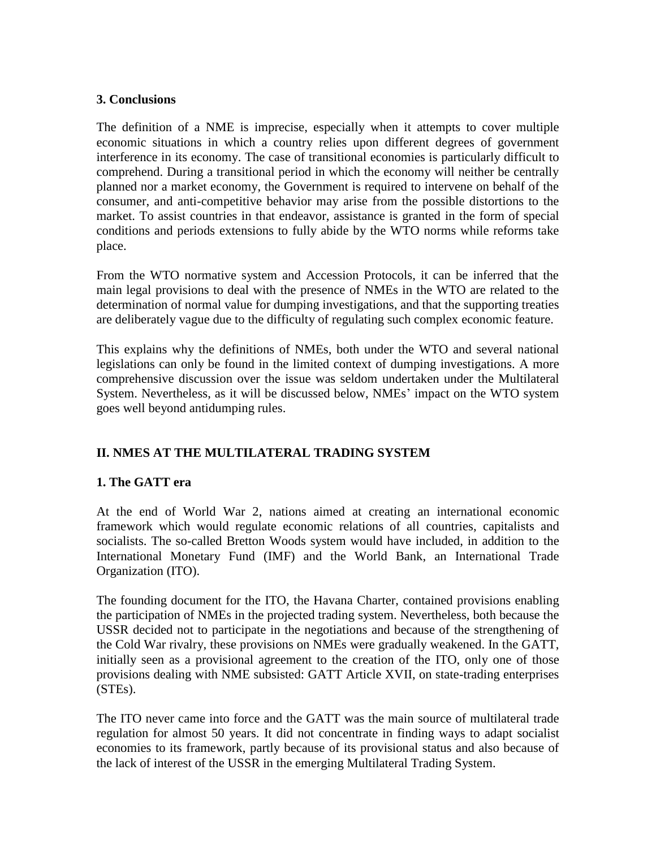#### **3. Conclusions**

The definition of a NME is imprecise, especially when it attempts to cover multiple economic situations in which a country relies upon different degrees of government interference in its economy. The case of transitional economies is particularly difficult to comprehend. During a transitional period in which the economy will neither be centrally planned nor a market economy, the Government is required to intervene on behalf of the consumer, and anti-competitive behavior may arise from the possible distortions to the market. To assist countries in that endeavor, assistance is granted in the form of special conditions and periods extensions to fully abide by the WTO norms while reforms take place.

From the WTO normative system and Accession Protocols, it can be inferred that the main legal provisions to deal with the presence of NMEs in the WTO are related to the determination of normal value for dumping investigations, and that the supporting treaties are deliberately vague due to the difficulty of regulating such complex economic feature.

This explains why the definitions of NMEs, both under the WTO and several national legislations can only be found in the limited context of dumping investigations. A more comprehensive discussion over the issue was seldom undertaken under the Multilateral System. Nevertheless, as it will be discussed below, NMEs' impact on the WTO system goes well beyond antidumping rules.

# **II. NMES AT THE MULTILATERAL TRADING SYSTEM**

# **1. The GATT era**

At the end of World War 2, nations aimed at creating an international economic framework which would regulate economic relations of all countries, capitalists and socialists. The so-called Bretton Woods system would have included, in addition to the International Monetary Fund (IMF) and the World Bank, an International Trade Organization (ITO).

The founding document for the ITO, the Havana Charter, contained provisions enabling the participation of NMEs in the projected trading system. Nevertheless, both because the USSR decided not to participate in the negotiations and because of the strengthening of the Cold War rivalry, these provisions on NMEs were gradually weakened. In the GATT, initially seen as a provisional agreement to the creation of the ITO, only one of those provisions dealing with NME subsisted: GATT Article XVII, on state-trading enterprises (STEs).

The ITO never came into force and the GATT was the main source of multilateral trade regulation for almost 50 years. It did not concentrate in finding ways to adapt socialist economies to its framework, partly because of its provisional status and also because of the lack of interest of the USSR in the emerging Multilateral Trading System.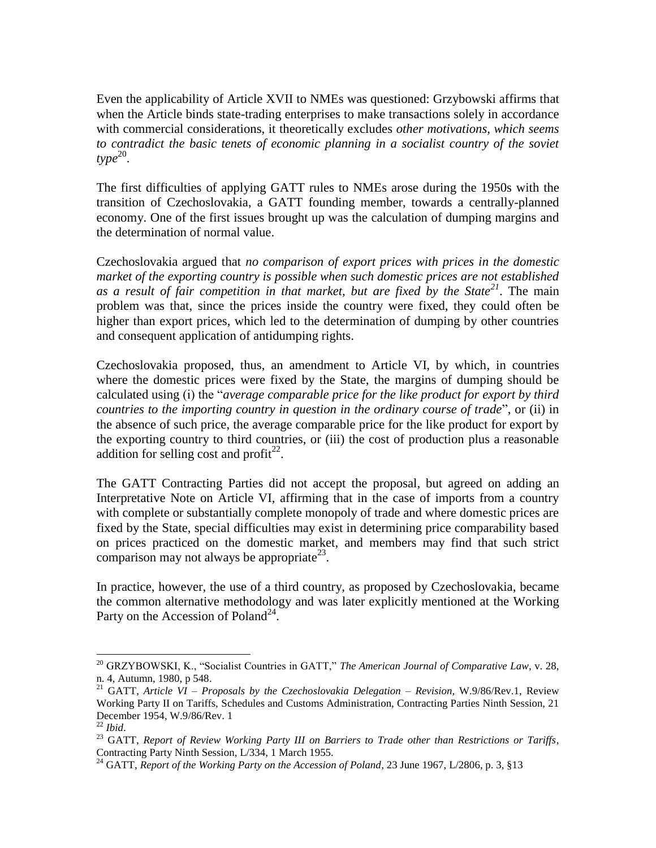Even the applicability of Article XVII to NMEs was questioned: Grzybowski affirms that when the Article binds state-trading enterprises to make transactions solely in accordance with commercial considerations, it theoretically excludes *other motivations, which seems to contradict the basic tenets of economic planning in a socialist country of the soviet*  $type^{20}$ .

The first difficulties of applying GATT rules to NMEs arose during the 1950s with the transition of Czechoslovakia, a GATT founding member, towards a centrally-planned economy. One of the first issues brought up was the calculation of dumping margins and the determination of normal value.

Czechoslovakia argued that *no comparison of export prices with prices in the domestic market of the exporting country is possible when such domestic prices are not established as a result of fair competition in that market, but are fixed by the State<sup>21</sup>*. The main problem was that, since the prices inside the country were fixed, they could often be higher than export prices, which led to the determination of dumping by other countries and consequent application of antidumping rights.

Czechoslovakia proposed, thus, an amendment to Article VI, by which, in countries where the domestic prices were fixed by the State, the margins of dumping should be calculated using (i) the "*average comparable price for the like product for export by third countries to the importing country in question in the ordinary course of trade*", or (ii) in the absence of such price, the average comparable price for the like product for export by the exporting country to third countries, or (iii) the cost of production plus a reasonable addition for selling cost and profit $^{22}$ .

The GATT Contracting Parties did not accept the proposal, but agreed on adding an Interpretative Note on Article VI, affirming that in the case of imports from a country with complete or substantially complete monopoly of trade and where domestic prices are fixed by the State, special difficulties may exist in determining price comparability based on prices practiced on the domestic market, and members may find that such strict comparison may not always be appropriate<sup>23</sup>.

In practice, however, the use of a third country, as proposed by Czechoslovakia, became the common alternative methodology and was later explicitly mentioned at the Working Party on the Accession of Poland<sup>24</sup>.

l

<sup>20</sup> GRZYBOWSKI, K., "Socialist Countries in GATT," *The American Journal of Comparative Law*, v. 28, n. 4, Autumn, 1980, p 548.

<sup>21</sup> GATT, *Article VI – Proposals by the Czechoslovakia Delegation – Revision,* W.9/86/Rev.1, Review Working Party II on Tariffs, Schedules and Customs Administration, Contracting Parties Ninth Session, 21 December 1954, W.9/86/Rev. 1

<sup>22</sup> *Ibid*.

<sup>23</sup> GATT, *Report of Review Working Party III on Barriers to Trade other than Restrictions or Tariffs*, Contracting Party Ninth Session, L/334, 1 March 1955.

<sup>&</sup>lt;sup>24</sup> GATT, *Report of the Working Party on the Accession of Poland*, 23 June 1967, L/2806, p. 3, §13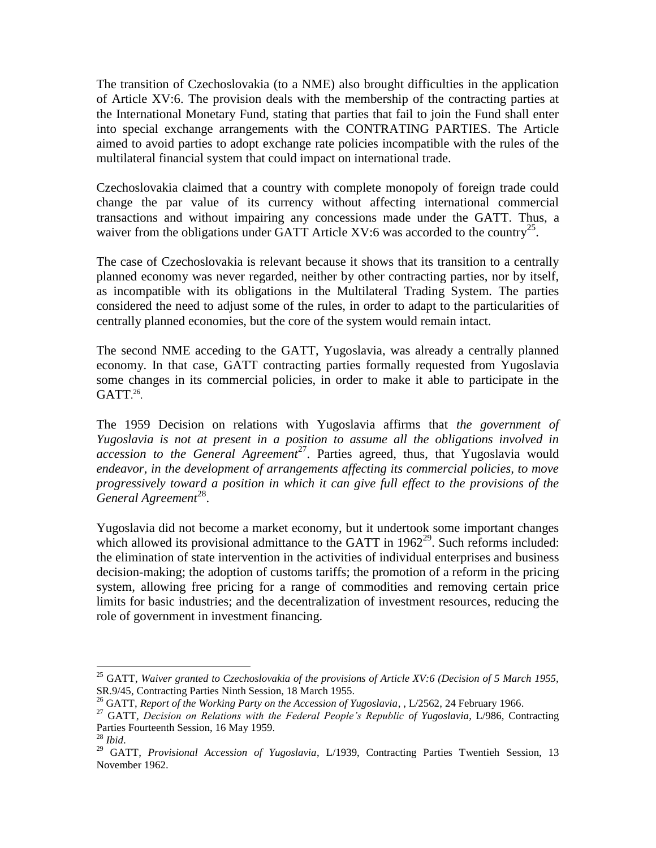The transition of Czechoslovakia (to a NME) also brought difficulties in the application of Article XV:6. The provision deals with the membership of the contracting parties at the International Monetary Fund, stating that parties that fail to join the Fund shall enter into special exchange arrangements with the CONTRATING PARTIES. The Article aimed to avoid parties to adopt exchange rate policies incompatible with the rules of the multilateral financial system that could impact on international trade.

Czechoslovakia claimed that a country with complete monopoly of foreign trade could change the par value of its currency without affecting international commercial transactions and without impairing any concessions made under the GATT. Thus, a waiver from the obligations under GATT Article XV:6 was accorded to the country<sup>25</sup>.

The case of Czechoslovakia is relevant because it shows that its transition to a centrally planned economy was never regarded, neither by other contracting parties, nor by itself, as incompatible with its obligations in the Multilateral Trading System. The parties considered the need to adjust some of the rules, in order to adapt to the particularities of centrally planned economies, but the core of the system would remain intact.

The second NME acceding to the GATT, Yugoslavia, was already a centrally planned economy. In that case, GATT contracting parties formally requested from Yugoslavia some changes in its commercial policies, in order to make it able to participate in the GATT.<sup>26</sup>.

The 1959 Decision on relations with Yugoslavia affirms that *the government of Yugoslavia is not at present in a position to assume all the obligations involved in accession to the General Agreement* <sup>27</sup>. Parties agreed, thus, that Yugoslavia would *endeavor, in the development of arrangements affecting its commercial policies, to move progressively toward a position in which it can give full effect to the provisions of the General Agreement* 28 .

Yugoslavia did not become a market economy, but it undertook some important changes which allowed its provisional admittance to the GATT in  $1962^{29}$ . Such reforms included: the elimination of state intervention in the activities of individual enterprises and business decision-making; the adoption of customs tariffs; the promotion of a reform in the pricing system, allowing free pricing for a range of commodities and removing certain price limits for basic industries; and the decentralization of investment resources, reducing the role of government in investment financing.

l

<sup>25</sup> GATT, *Waiver granted to Czechoslovakia of the provisions of Article XV:6 (Decision of 5 March 1955,* SR.9/45, Contracting Parties Ninth Session, 18 March 1955.

<sup>26</sup> GATT, *Report of the Working Party on the Accession of Yugoslavia*, , L/2562, 24 February 1966.

<sup>27</sup> GATT, *Decision on Relations with the Federal People's Republic of Yugoslavia*, L/986, Contracting Parties Fourteenth Session, 16 May 1959.

<sup>28</sup> *Ibid*.

<sup>&</sup>lt;sup>29</sup> GATT, *Provisional Accession of Yugoslavia*, L/1939, Contracting Parties Twentieh Session, 13 November 1962.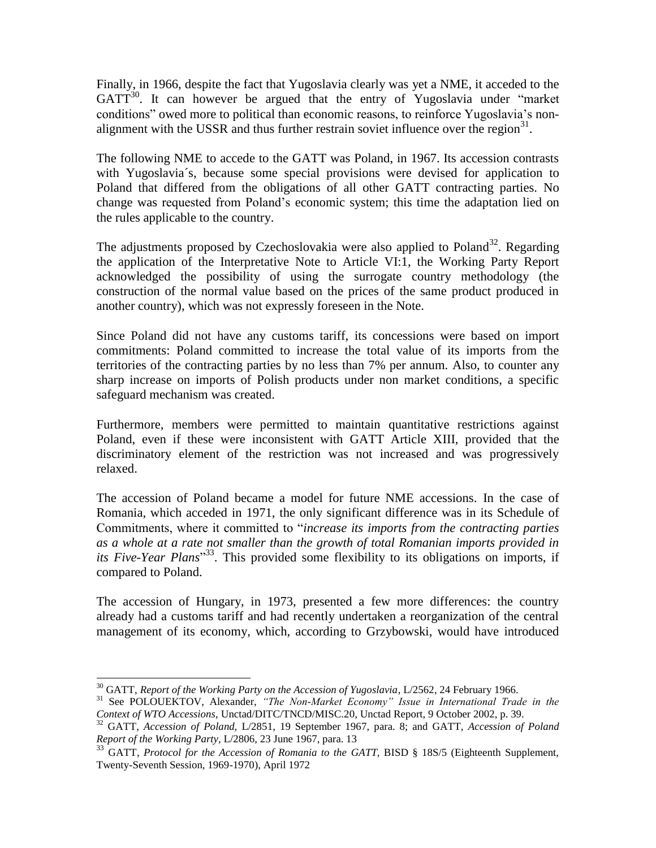Finally, in 1966, despite the fact that Yugoslavia clearly was yet a NME, it acceded to the  $GATT<sup>30</sup>$ . It can however be argued that the entry of Yugoslavia under "market" conditions" owed more to political than economic reasons, to reinforce Yugoslavia's nonalignment with the USSR and thus further restrain soviet influence over the region $31$ .

The following NME to accede to the GATT was Poland, in 1967. Its accession contrasts with Yugoslavia´s, because some special provisions were devised for application to Poland that differed from the obligations of all other GATT contracting parties. No change was requested from Poland's economic system; this time the adaptation lied on the rules applicable to the country.

The adjustments proposed by Czechoslovakia were also applied to Poland<sup>32</sup>. Regarding the application of the Interpretative Note to Article VI:1, the Working Party Report acknowledged the possibility of using the surrogate country methodology (the construction of the normal value based on the prices of the same product produced in another country), which was not expressly foreseen in the Note.

Since Poland did not have any customs tariff, its concessions were based on import commitments: Poland committed to increase the total value of its imports from the territories of the contracting parties by no less than 7% per annum. Also, to counter any sharp increase on imports of Polish products under non market conditions, a specific safeguard mechanism was created.

Furthermore, members were permitted to maintain quantitative restrictions against Poland, even if these were inconsistent with GATT Article XIII, provided that the discriminatory element of the restriction was not increased and was progressively relaxed.

The accession of Poland became a model for future NME accessions. In the case of Romania, which acceded in 1971, the only significant difference was in its Schedule of Commitments, where it committed to "*increase its imports from the contracting parties as a whole at a rate not smaller than the growth of total Romanian imports provided in its Five-Year Plans*" 33 . This provided some flexibility to its obligations on imports, if compared to Poland.

The accession of Hungary, in 1973, presented a few more differences: the country already had a customs tariff and had recently undertaken a reorganization of the central management of its economy, which, according to Grzybowski, would have introduced

 $\overline{a}$ 

<sup>30</sup> GATT, *Report of the Working Party on the Accession of Yugoslavia*, L/2562, 24 February 1966.

<sup>&</sup>lt;sup>31</sup> See POLOUEKTOV, Alexander, "The Non-Market Economy" Issue in International Trade in the *Context of WTO Accessions*, Unctad/DITC/TNCD/MISC.20, Unctad Report, 9 October 2002, p. 39.

<sup>32</sup> GATT, *Accession of Poland,* L/2851, 19 September 1967, para. 8; and GATT, *Accession of Poland Report of the Working Party*, L/2806, 23 June 1967, para. 13

<sup>&</sup>lt;sup>33</sup> GATT, *Protocol for the Accession of Romania to the GATT*, BISD § 18S/5 (Eighteenth Supplement, Twenty-Seventh Session, 1969-1970), April 1972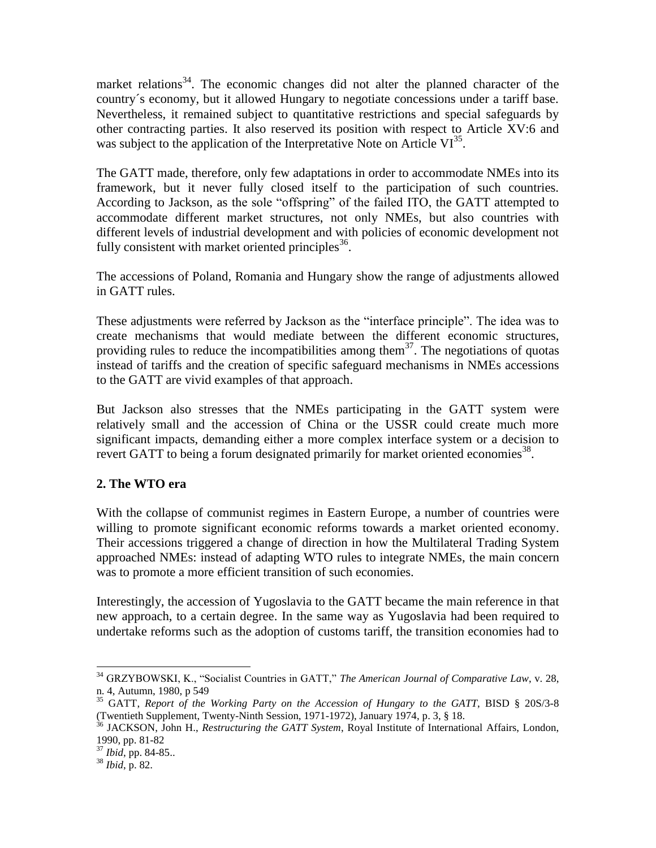market relations<sup>34</sup>. The economic changes did not alter the planned character of the country´s economy, but it allowed Hungary to negotiate concessions under a tariff base. Nevertheless, it remained subject to quantitative restrictions and special safeguards by other contracting parties. It also reserved its position with respect to Article XV:6 and was subject to the application of the Interpretative Note on Article  $VI^{35}$ .

The GATT made, therefore, only few adaptations in order to accommodate NMEs into its framework, but it never fully closed itself to the participation of such countries. According to Jackson, as the sole "offspring" of the failed ITO, the GATT attempted to accommodate different market structures, not only NMEs, but also countries with different levels of industrial development and with policies of economic development not fully consistent with market oriented principles  $36$ .

The accessions of Poland, Romania and Hungary show the range of adjustments allowed in GATT rules.

These adjustments were referred by Jackson as the "interface principle". The idea was to create mechanisms that would mediate between the different economic structures, providing rules to reduce the incompatibilities among them<sup>37</sup>. The negotiations of quotas instead of tariffs and the creation of specific safeguard mechanisms in NMEs accessions to the GATT are vivid examples of that approach.

But Jackson also stresses that the NMEs participating in the GATT system were relatively small and the accession of China or the USSR could create much more significant impacts, demanding either a more complex interface system or a decision to revert GATT to being a forum designated primarily for market oriented economies<sup>38</sup>.

# **2. The WTO era**

With the collapse of communist regimes in Eastern Europe, a number of countries were willing to promote significant economic reforms towards a market oriented economy. Their accessions triggered a change of direction in how the Multilateral Trading System approached NMEs: instead of adapting WTO rules to integrate NMEs, the main concern was to promote a more efficient transition of such economies.

Interestingly, the accession of Yugoslavia to the GATT became the main reference in that new approach, to a certain degree. In the same way as Yugoslavia had been required to undertake reforms such as the adoption of customs tariff, the transition economies had to

l <sup>34</sup> GRZYBOWSKI, K., "Socialist Countries in GATT," *The American Journal of Comparative Law*, v. 28, n. 4, Autumn, 1980, p 549

<sup>35</sup> GATT, *Report of the Working Party on the Accession of Hungary to the GATT*, BISD § 20S/3-8 (Twentieth Supplement, Twenty-Ninth Session, 1971-1972), January 1974, p. 3, § 18.

<sup>36</sup> JACKSON, John H., *Restructuring the GATT System*, Royal Institute of International Affairs, London, 1990, pp. 81-82

<sup>37</sup> *Ibid*, pp. 84-85..

<sup>38</sup> *Ibid*, p. 82.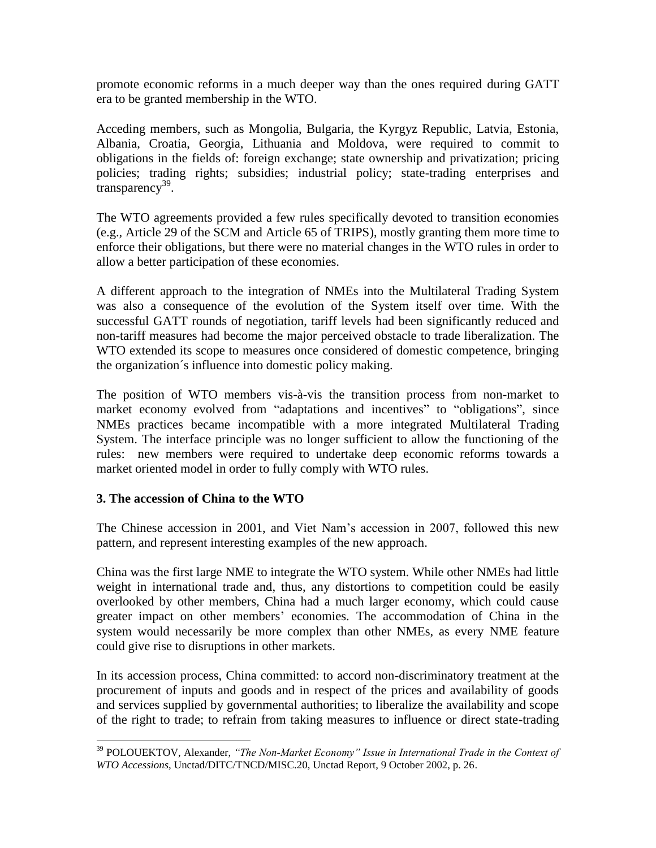promote economic reforms in a much deeper way than the ones required during GATT era to be granted membership in the WTO.

Acceding members, such as Mongolia, Bulgaria, the Kyrgyz Republic, Latvia, Estonia, Albania, Croatia, Georgia, Lithuania and Moldova, were required to commit to obligations in the fields of: foreign exchange; state ownership and privatization; pricing policies; trading rights; subsidies; industrial policy; state-trading enterprises and transparency<sup>39</sup>.

The WTO agreements provided a few rules specifically devoted to transition economies (e.g., Article 29 of the SCM and Article 65 of TRIPS), mostly granting them more time to enforce their obligations, but there were no material changes in the WTO rules in order to allow a better participation of these economies.

A different approach to the integration of NMEs into the Multilateral Trading System was also a consequence of the evolution of the System itself over time. With the successful GATT rounds of negotiation, tariff levels had been significantly reduced and non-tariff measures had become the major perceived obstacle to trade liberalization. The WTO extended its scope to measures once considered of domestic competence, bringing the organization´s influence into domestic policy making.

The position of WTO members vis-à-vis the transition process from non-market to market economy evolved from "adaptations and incentives" to "obligations", since NMEs practices became incompatible with a more integrated Multilateral Trading System. The interface principle was no longer sufficient to allow the functioning of the rules: new members were required to undertake deep economic reforms towards a market oriented model in order to fully comply with WTO rules.

#### **3. The accession of China to the WTO**

The Chinese accession in 2001, and Viet Nam's accession in 2007, followed this new pattern, and represent interesting examples of the new approach.

China was the first large NME to integrate the WTO system. While other NMEs had little weight in international trade and, thus, any distortions to competition could be easily overlooked by other members, China had a much larger economy, which could cause greater impact on other members' economies. The accommodation of China in the system would necessarily be more complex than other NMEs, as every NME feature could give rise to disruptions in other markets.

In its accession process, China committed: to accord non-discriminatory treatment at the procurement of inputs and goods and in respect of the prices and availability of goods and services supplied by governmental authorities; to liberalize the availability and scope of the right to trade; to refrain from taking measures to influence or direct state-trading

l <sup>39</sup> POLOUEKTOV, Alexander, "The Non-Market Economy" Issue in International Trade in the Context of *WTO Accessions*, Unctad/DITC/TNCD/MISC.20, Unctad Report, 9 October 2002, p. 26.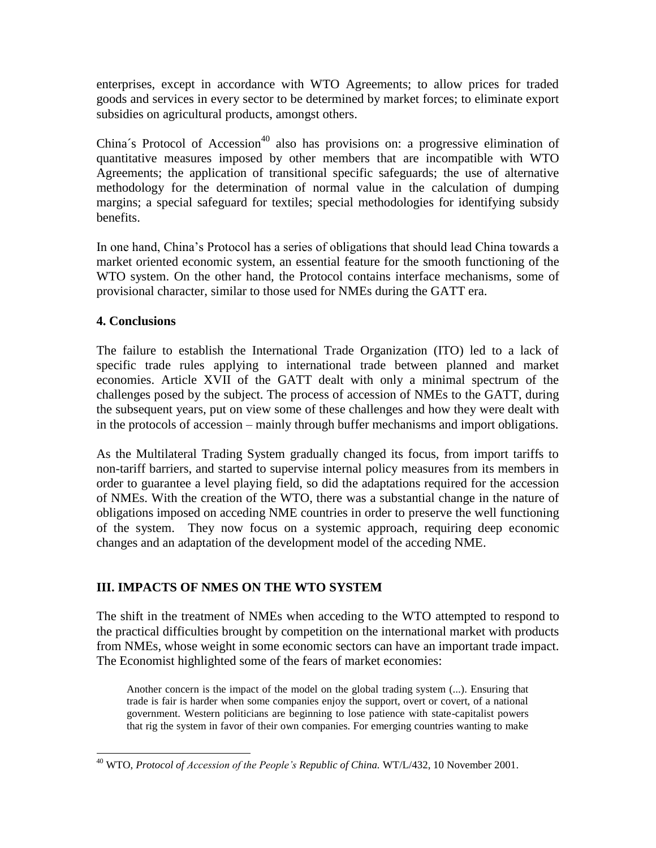enterprises, except in accordance with WTO Agreements; to allow prices for traded goods and services in every sector to be determined by market forces; to eliminate export subsidies on agricultural products, amongst others.

China's Protocol of Accession<sup>40</sup> also has provisions on: a progressive elimination of quantitative measures imposed by other members that are incompatible with WTO Agreements; the application of transitional specific safeguards; the use of alternative methodology for the determination of normal value in the calculation of dumping margins; a special safeguard for textiles; special methodologies for identifying subsidy benefits.

In one hand, China's Protocol has a series of obligations that should lead China towards a market oriented economic system, an essential feature for the smooth functioning of the WTO system. On the other hand, the Protocol contains interface mechanisms, some of provisional character, similar to those used for NMEs during the GATT era.

# **4. Conclusions**

 $\overline{a}$ 

The failure to establish the International Trade Organization (ITO) led to a lack of specific trade rules applying to international trade between planned and market economies. Article XVII of the GATT dealt with only a minimal spectrum of the challenges posed by the subject. The process of accession of NMEs to the GATT, during the subsequent years, put on view some of these challenges and how they were dealt with in the protocols of accession – mainly through buffer mechanisms and import obligations.

As the Multilateral Trading System gradually changed its focus, from import tariffs to non-tariff barriers, and started to supervise internal policy measures from its members in order to guarantee a level playing field, so did the adaptations required for the accession of NMEs. With the creation of the WTO, there was a substantial change in the nature of obligations imposed on acceding NME countries in order to preserve the well functioning of the system. They now focus on a systemic approach, requiring deep economic changes and an adaptation of the development model of the acceding NME.

# **III. IMPACTS OF NMES ON THE WTO SYSTEM**

The shift in the treatment of NMEs when acceding to the WTO attempted to respond to the practical difficulties brought by competition on the international market with products from NMEs, whose weight in some economic sectors can have an important trade impact. The Economist highlighted some of the fears of market economies:

Another concern is the impact of the model on the global trading system (...). Ensuring that trade is fair is harder when some companies enjoy the support, overt or covert, of a national government. Western politicians are beginning to lose patience with state-capitalist powers that rig the system in favor of their own companies. For emerging countries wanting to make

<sup>40</sup> WTO, *Protocol of Accession of the People's Republic of China.* WT/L/432, 10 November 2001.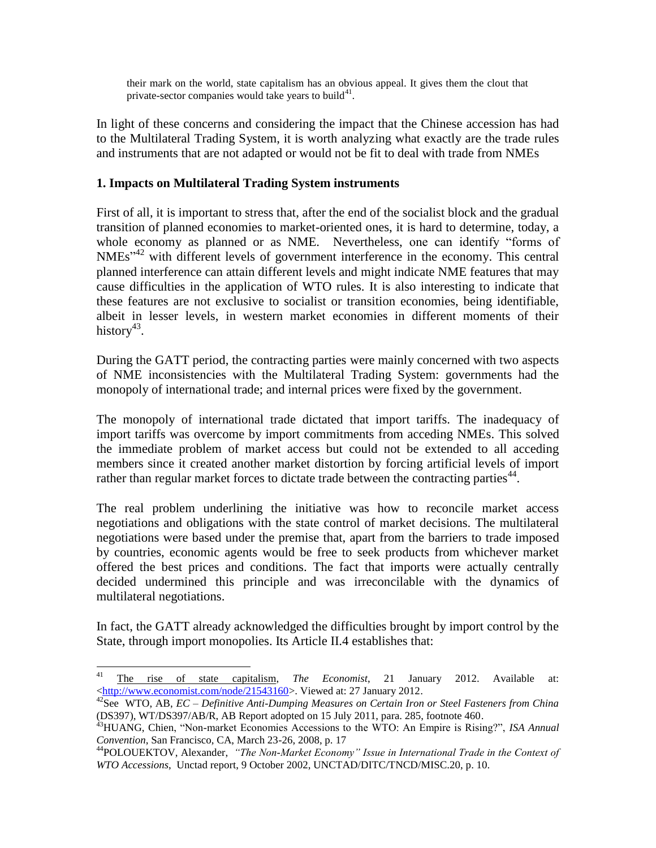their mark on the world, state capitalism has an obvious appeal. It gives them the clout that private-sector companies would take years to build $41$ .

In light of these concerns and considering the impact that the Chinese accession has had to the Multilateral Trading System, it is worth analyzing what exactly are the trade rules and instruments that are not adapted or would not be fit to deal with trade from NMEs

#### **1. Impacts on Multilateral Trading System instruments**

First of all, it is important to stress that, after the end of the socialist block and the gradual transition of planned economies to market-oriented ones, it is hard to determine, today, a whole economy as planned or as NME. Nevertheless, one can identify "forms of NMEs<sup>142</sup> with different levels of government interference in the economy. This central planned interference can attain different levels and might indicate NME features that may cause difficulties in the application of WTO rules. It is also interesting to indicate that these features are not exclusive to socialist or transition economies, being identifiable, albeit in lesser levels, in western market economies in different moments of their history<sup>43</sup>.

During the GATT period, the contracting parties were mainly concerned with two aspects of NME inconsistencies with the Multilateral Trading System: governments had the monopoly of international trade; and internal prices were fixed by the government.

The monopoly of international trade dictated that import tariffs. The inadequacy of import tariffs was overcome by import commitments from acceding NMEs. This solved the immediate problem of market access but could not be extended to all acceding members since it created another market distortion by forcing artificial levels of import rather than regular market forces to dictate trade between the contracting parties $44$ .

The real problem underlining the initiative was how to reconcile market access negotiations and obligations with the state control of market decisions. The multilateral negotiations were based under the premise that, apart from the barriers to trade imposed by countries, economic agents would be free to seek products from whichever market offered the best prices and conditions. The fact that imports were actually centrally decided undermined this principle and was irreconcilable with the dynamics of multilateral negotiations.

In fact, the GATT already acknowledged the difficulties brought by import control by the State, through import monopolies. Its Article II.4 establishes that:

 $41$ <sup>41</sup> The rise of state capitalism, *The Economist*, 21 January 2012. Available at: [<http://www.economist.com/node/21543160>](http://www.economist.com/node/21543160). Viewed at: 27 January 2012.

<sup>42</sup>See WTO, AB, *EC – Definitive Anti-Dumping Measures on Certain Iron or Steel Fasteners from China* (DS397), WT/DS397/AB/R, AB Report adopted on 15 July 2011, para. 285, footnote 460.

<sup>43</sup>HUANG, Chien, "Non-market Economies Accessions to the WTO: An Empire is Rising?", *ISA Annual Convention*, San Francisco, CA, March 23-26, 2008, p. 17

<sup>44</sup>POLOUEKTOV, Alexander, *"The Non-Market Economy" Issue in International Trade in the Context of WTO Accessions*, Unctad report, 9 October 2002, UNCTAD/DITC/TNCD/MISC.20, p. 10.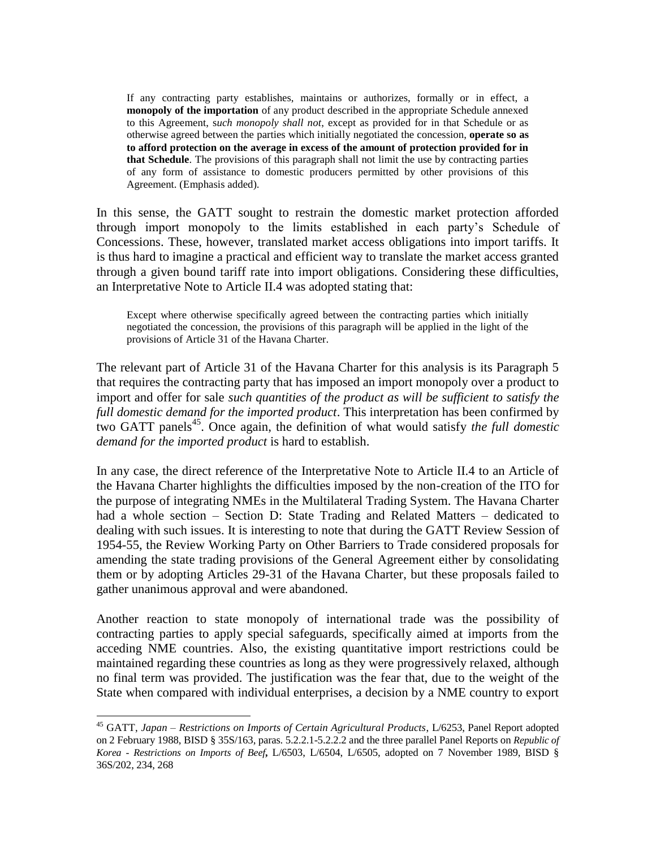If any contracting party establishes, maintains or authorizes, formally or in effect, a **monopoly of the importation** of any product described in the appropriate Schedule annexed to this Agreement, s*uch monopoly shall not*, except as provided for in that Schedule or as otherwise agreed between the parties which initially negotiated the concession, **operate so as to afford protection on the average in excess of the amount of protection provided for in that Schedule**. The provisions of this paragraph shall not limit the use by contracting parties of any form of assistance to domestic producers permitted by other provisions of this Agreement. (Emphasis added).

In this sense, the GATT sought to restrain the domestic market protection afforded through import monopoly to the limits established in each party's Schedule of Concessions. These, however, translated market access obligations into import tariffs. It is thus hard to imagine a practical and efficient way to translate the market access granted through a given bound tariff rate into import obligations. Considering these difficulties, an Interpretative Note to Article II.4 was adopted stating that:

Except where otherwise specifically agreed between the contracting parties which initially negotiated the concession, the provisions of this paragraph will be applied in the light of the provisions of Article 31 of the Havana Charter.

The relevant part of Article 31 of the Havana Charter for this analysis is its Paragraph 5 that requires the contracting party that has imposed an import monopoly over a product to import and offer for sale *such quantities of the product as will be sufficient to satisfy the full domestic demand for the imported product*. This interpretation has been confirmed by two GATT panels<sup>45</sup>. Once again, the definition of what would satisfy *the full domestic demand for the imported product* is hard to establish.

In any case, the direct reference of the Interpretative Note to Article II.4 to an Article of the Havana Charter highlights the difficulties imposed by the non-creation of the ITO for the purpose of integrating NMEs in the Multilateral Trading System. The Havana Charter had a whole section – Section D: State Trading and Related Matters – dedicated to dealing with such issues. It is interesting to note that during the GATT Review Session of 1954-55, the Review Working Party on Other Barriers to Trade considered proposals for amending the state trading provisions of the General Agreement either by consolidating them or by adopting Articles 29-31 of the Havana Charter, but these proposals failed to gather unanimous approval and were abandoned.

Another reaction to state monopoly of international trade was the possibility of contracting parties to apply special safeguards, specifically aimed at imports from the acceding NME countries. Also, the existing quantitative import restrictions could be maintained regarding these countries as long as they were progressively relaxed, although no final term was provided. The justification was the fear that, due to the weight of the State when compared with individual enterprises, a decision by a NME country to export

 $\overline{a}$ 

<sup>45</sup> GATT, *Japan – Restrictions on Imports of Certain Agricultural Products*, L/6253, Panel Report adopted on 2 February 1988, BISD § 35S/163, paras. 5.2.2.1-5.2.2.2 and the three parallel Panel Reports on *Republic of Korea - Restrictions on Imports of Beef***,** L/6503, L/6504, L/6505, adopted on 7 November 1989, BISD § 36S/202, 234, 268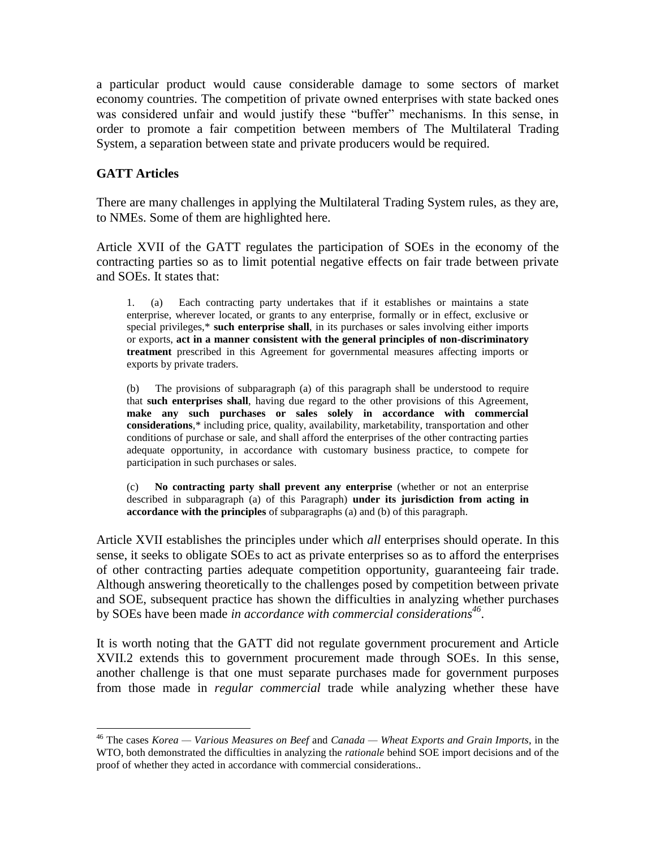a particular product would cause considerable damage to some sectors of market economy countries. The competition of private owned enterprises with state backed ones was considered unfair and would justify these "buffer" mechanisms. In this sense, in order to promote a fair competition between members of The Multilateral Trading System, a separation between state and private producers would be required.

#### **GATT Articles**

l

There are many challenges in applying the Multilateral Trading System rules, as they are, to NMEs. Some of them are highlighted here.

Article XVII of the GATT regulates the participation of SOEs in the economy of the contracting parties so as to limit potential negative effects on fair trade between private and SOEs. It states that:

1. (a) Each contracting party undertakes that if it establishes or maintains a state enterprise, wherever located, or grants to any enterprise, formally or in effect, exclusive or special privileges,\* **such enterprise shall**, in its purchases or sales involving either imports or exports, **act in a manner consistent with the general principles of non-discriminatory treatment** prescribed in this Agreement for governmental measures affecting imports or exports by private traders.

(b) The provisions of subparagraph (a) of this paragraph shall be understood to require that **such enterprises shall**, having due regard to the other provisions of this Agreement, **make any such purchases or sales solely in accordance with commercial considerations**,\* including price, quality, availability, marketability, transportation and other conditions of purchase or sale, and shall afford the enterprises of the other contracting parties adequate opportunity, in accordance with customary business practice, to compete for participation in such purchases or sales.

(c) **No contracting party shall prevent any enterprise** (whether or not an enterprise described in subparagraph (a) of this Paragraph) **under its jurisdiction from acting in accordance with the principles** of subparagraphs (a) and (b) of this paragraph.

Article XVII establishes the principles under which *all* enterprises should operate. In this sense, it seeks to obligate SOEs to act as private enterprises so as to afford the enterprises of other contracting parties adequate competition opportunity, guaranteeing fair trade. Although answering theoretically to the challenges posed by competition between private and SOE, subsequent practice has shown the difficulties in analyzing whether purchases by SOEs have been made *in accordance with commercial considerations<sup>46</sup>* .

It is worth noting that the GATT did not regulate government procurement and Article XVII.2 extends this to government procurement made through SOEs. In this sense, another challenge is that one must separate purchases made for government purposes from those made in *regular commercial* trade while analyzing whether these have

<sup>46</sup> The cases *Korea — Various Measures on Beef* and *Canada — Wheat Exports and Grain Imports*, in the WTO, both demonstrated the difficulties in analyzing the *rationale* behind SOE import decisions and of the proof of whether they acted in accordance with commercial considerations..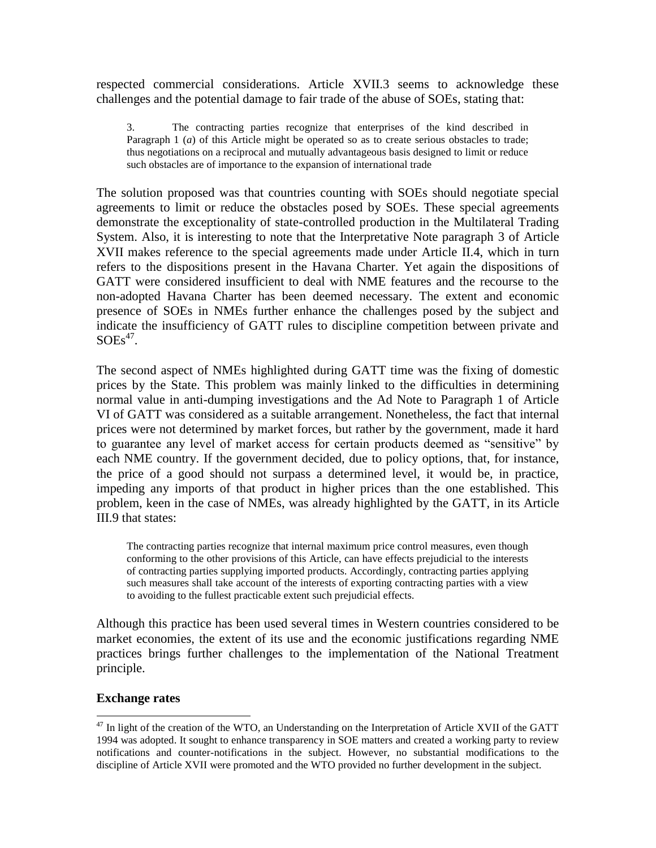respected commercial considerations. Article XVII.3 seems to acknowledge these challenges and the potential damage to fair trade of the abuse of SOEs, stating that:

3. The contracting parties recognize that enterprises of the kind described in Paragraph 1 (*a*) of this Article might be operated so as to create serious obstacles to trade; thus negotiations on a reciprocal and mutually advantageous basis designed to limit or reduce such obstacles are of importance to the expansion of international trade

The solution proposed was that countries counting with SOEs should negotiate special agreements to limit or reduce the obstacles posed by SOEs. These special agreements demonstrate the exceptionality of state-controlled production in the Multilateral Trading System. Also, it is interesting to note that the Interpretative Note paragraph 3 of Article XVII makes reference to the special agreements made under Article II.4, which in turn refers to the dispositions present in the Havana Charter. Yet again the dispositions of GATT were considered insufficient to deal with NME features and the recourse to the non-adopted Havana Charter has been deemed necessary. The extent and economic presence of SOEs in NMEs further enhance the challenges posed by the subject and indicate the insufficiency of GATT rules to discipline competition between private and  $\text{SOEs}^{47}$ .

The second aspect of NMEs highlighted during GATT time was the fixing of domestic prices by the State. This problem was mainly linked to the difficulties in determining normal value in anti-dumping investigations and the Ad Note to Paragraph 1 of Article VI of GATT was considered as a suitable arrangement. Nonetheless, the fact that internal prices were not determined by market forces, but rather by the government, made it hard to guarantee any level of market access for certain products deemed as "sensitive" by each NME country. If the government decided, due to policy options, that, for instance, the price of a good should not surpass a determined level, it would be, in practice, impeding any imports of that product in higher prices than the one established. This problem, keen in the case of NMEs, was already highlighted by the GATT, in its Article III.9 that states:

The contracting parties recognize that internal maximum price control measures, even though conforming to the other provisions of this Article, can have effects prejudicial to the interests of contracting parties supplying imported products. Accordingly, contracting parties applying such measures shall take account of the interests of exporting contracting parties with a view to avoiding to the fullest practicable extent such prejudicial effects.

Although this practice has been used several times in Western countries considered to be market economies, the extent of its use and the economic justifications regarding NME practices brings further challenges to the implementation of the National Treatment principle.

#### **Exchange rates**

 $\overline{a}$ 

 $47$  In light of the creation of the WTO, an Understanding on the Interpretation of Article XVII of the GATT 1994 was adopted. It sought to enhance transparency in SOE matters and created a working party to review notifications and counter-notifications in the subject. However, no substantial modifications to the discipline of Article XVII were promoted and the WTO provided no further development in the subject.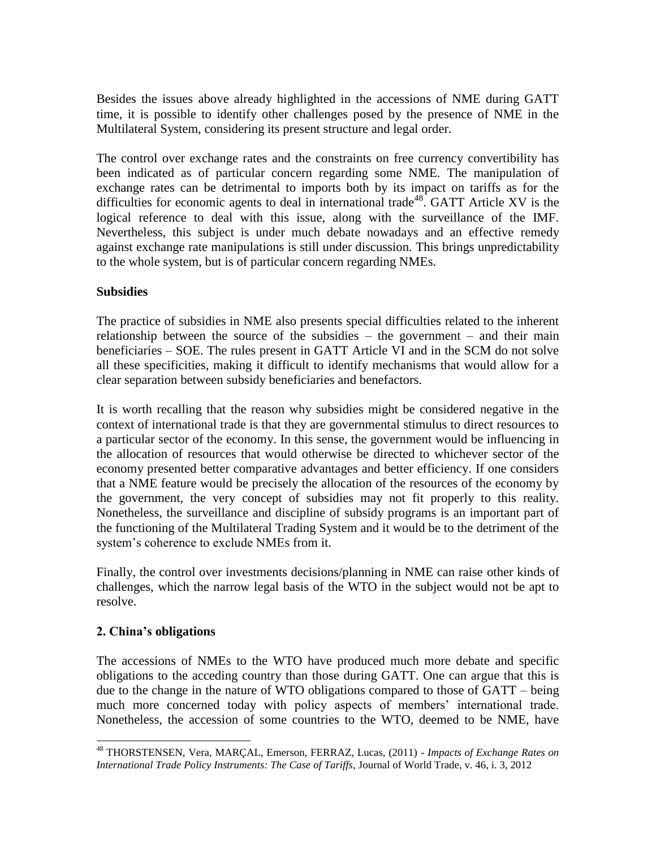Besides the issues above already highlighted in the accessions of NME during GATT time, it is possible to identify other challenges posed by the presence of NME in the Multilateral System, considering its present structure and legal order.

The control over exchange rates and the constraints on free currency convertibility has been indicated as of particular concern regarding some NME. The manipulation of exchange rates can be detrimental to imports both by its impact on tariffs as for the difficulties for economic agents to deal in international trade<sup>48</sup>. GATT Article XV is the logical reference to deal with this issue, along with the surveillance of the IMF. Nevertheless, this subject is under much debate nowadays and an effective remedy against exchange rate manipulations is still under discussion. This brings unpredictability to the whole system, but is of particular concern regarding NMEs.

#### **Subsidies**

The practice of subsidies in NME also presents special difficulties related to the inherent relationship between the source of the subsidies  $-$  the government  $-$  and their main beneficiaries – SOE. The rules present in GATT Article VI and in the SCM do not solve all these specificities, making it difficult to identify mechanisms that would allow for a clear separation between subsidy beneficiaries and benefactors.

It is worth recalling that the reason why subsidies might be considered negative in the context of international trade is that they are governmental stimulus to direct resources to a particular sector of the economy. In this sense, the government would be influencing in the allocation of resources that would otherwise be directed to whichever sector of the economy presented better comparative advantages and better efficiency. If one considers that a NME feature would be precisely the allocation of the resources of the economy by the government, the very concept of subsidies may not fit properly to this reality. Nonetheless, the surveillance and discipline of subsidy programs is an important part of the functioning of the Multilateral Trading System and it would be to the detriment of the system's coherence to exclude NMEs from it.

Finally, the control over investments decisions/planning in NME can raise other kinds of challenges, which the narrow legal basis of the WTO in the subject would not be apt to resolve.

# **2. China's obligations**

The accessions of NMEs to the WTO have produced much more debate and specific obligations to the acceding country than those during GATT. One can argue that this is due to the change in the nature of WTO obligations compared to those of GATT – being much more concerned today with policy aspects of members' international trade. Nonetheless, the accession of some countries to the WTO, deemed to be NME, have

l <sup>48</sup> THORSTENSEN, Vera, MARÇAL, Emerson, FERRAZ, Lucas, (2011) - *Impacts of Exchange Rates on International Trade Policy Instruments: The Case of Tariffs*, Journal of World Trade, v. 46, i. 3, 2012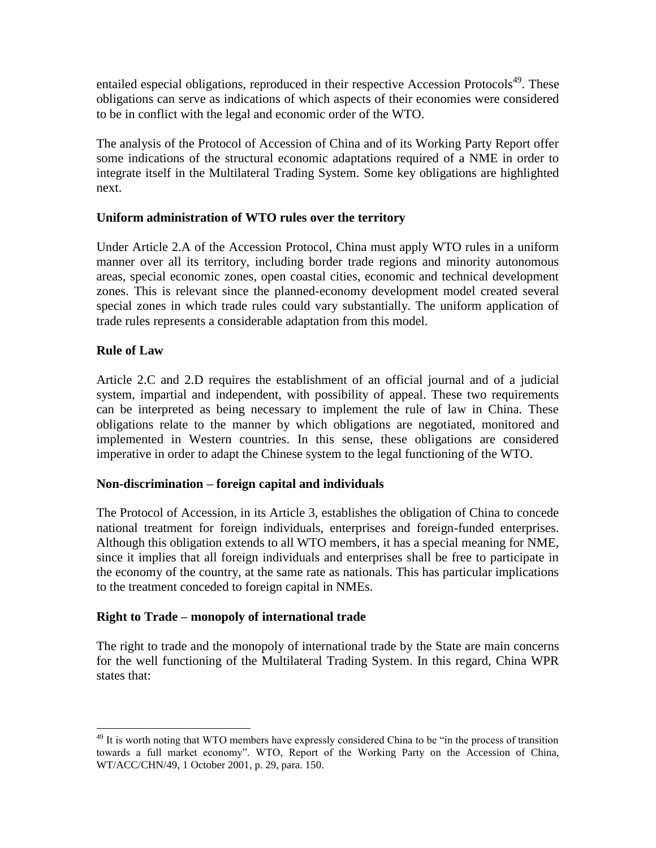entailed especial obligations, reproduced in their respective Accession Protocols<sup>49</sup>. These obligations can serve as indications of which aspects of their economies were considered to be in conflict with the legal and economic order of the WTO.

The analysis of the Protocol of Accession of China and of its Working Party Report offer some indications of the structural economic adaptations required of a NME in order to integrate itself in the Multilateral Trading System. Some key obligations are highlighted next.

#### **Uniform administration of WTO rules over the territory**

Under Article 2.A of the Accession Protocol, China must apply WTO rules in a uniform manner over all its territory, including border trade regions and minority autonomous areas, special economic zones, open coastal cities, economic and technical development zones. This is relevant since the planned-economy development model created several special zones in which trade rules could vary substantially. The uniform application of trade rules represents a considerable adaptation from this model.

#### **Rule of Law**

l

Article 2.C and 2.D requires the establishment of an official journal and of a judicial system, impartial and independent, with possibility of appeal. These two requirements can be interpreted as being necessary to implement the rule of law in China. These obligations relate to the manner by which obligations are negotiated, monitored and implemented in Western countries. In this sense, these obligations are considered imperative in order to adapt the Chinese system to the legal functioning of the WTO.

#### **Non-discrimination – foreign capital and individuals**

The Protocol of Accession, in its Article 3, establishes the obligation of China to concede national treatment for foreign individuals, enterprises and foreign-funded enterprises. Although this obligation extends to all WTO members, it has a special meaning for NME, since it implies that all foreign individuals and enterprises shall be free to participate in the economy of the country, at the same rate as nationals. This has particular implications to the treatment conceded to foreign capital in NMEs.

#### **Right to Trade – monopoly of international trade**

The right to trade and the monopoly of international trade by the State are main concerns for the well functioning of the Multilateral Trading System. In this regard, China WPR states that:

<sup>&</sup>lt;sup>49</sup> It is worth noting that WTO members have expressly considered China to be "in the process of transition" towards a full market economy". WTO, Report of the Working Party on the Accession of China, WT/ACC/CHN/49, 1 October 2001, p. 29, para. 150.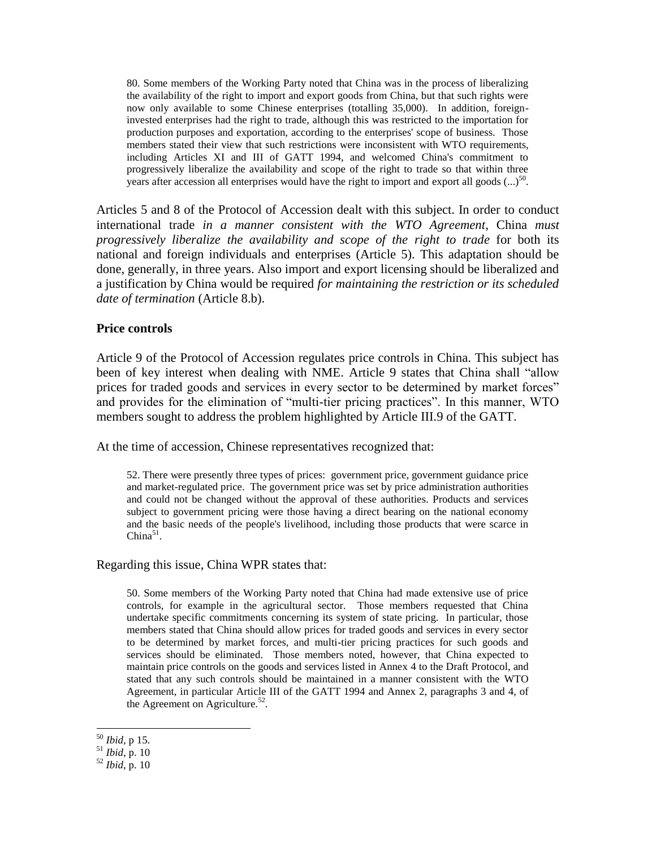80. Some members of the Working Party noted that China was in the process of liberalizing the availability of the right to import and export goods from China, but that such rights were now only available to some Chinese enterprises (totalling 35,000). In addition, foreigninvested enterprises had the right to trade, although this was restricted to the importation for production purposes and exportation, according to the enterprises' scope of business. Those members stated their view that such restrictions were inconsistent with WTO requirements, including Articles XI and III of GATT 1994, and welcomed China's commitment to progressively liberalize the availability and scope of the right to trade so that within three years after accession all enterprises would have the right to import and export all goods  $(...)$ <sup>50</sup>.

Articles 5 and 8 of the Protocol of Accession dealt with this subject. In order to conduct international trade *in a manner consistent with the WTO Agreement*, China *must progressively liberalize the availability and scope of the right to trade* for both its national and foreign individuals and enterprises (Article 5). This adaptation should be done, generally, in three years. Also import and export licensing should be liberalized and a justification by China would be required *for maintaining the restriction or its scheduled date of termination* (Article 8.b).

#### **Price controls**

Article 9 of the Protocol of Accession regulates price controls in China. This subject has been of key interest when dealing with NME. Article 9 states that China shall "allow prices for traded goods and services in every sector to be determined by market forces" and provides for the elimination of "multi-tier pricing practices". In this manner, WTO members sought to address the problem highlighted by Article III.9 of the GATT.

At the time of accession, Chinese representatives recognized that:

52. There were presently three types of prices: government price, government guidance price and market-regulated price. The government price was set by price administration authorities and could not be changed without the approval of these authorities. Products and services subject to government pricing were those having a direct bearing on the national economy and the basic needs of the people's livelihood, including those products that were scarce in  $China<sup>51</sup>$ .

Regarding this issue, China WPR states that:

50. Some members of the Working Party noted that China had made extensive use of price controls, for example in the agricultural sector. Those members requested that China undertake specific commitments concerning its system of state pricing. In particular, those members stated that China should allow prices for traded goods and services in every sector to be determined by market forces, and multi-tier pricing practices for such goods and services should be eliminated. Those members noted, however, that China expected to maintain price controls on the goods and services listed in Annex 4 to the Draft Protocol, and stated that any such controls should be maintained in a manner consistent with the WTO Agreement, in particular Article III of the GATT 1994 and Annex 2, paragraphs 3 and 4, of the Agreement on Agriculture.<sup>52</sup>.

l

<sup>50</sup> *Ibid*, p 15.

<sup>51</sup> *Ibid*, p. 10

<sup>52</sup> *Ibid*, p. 10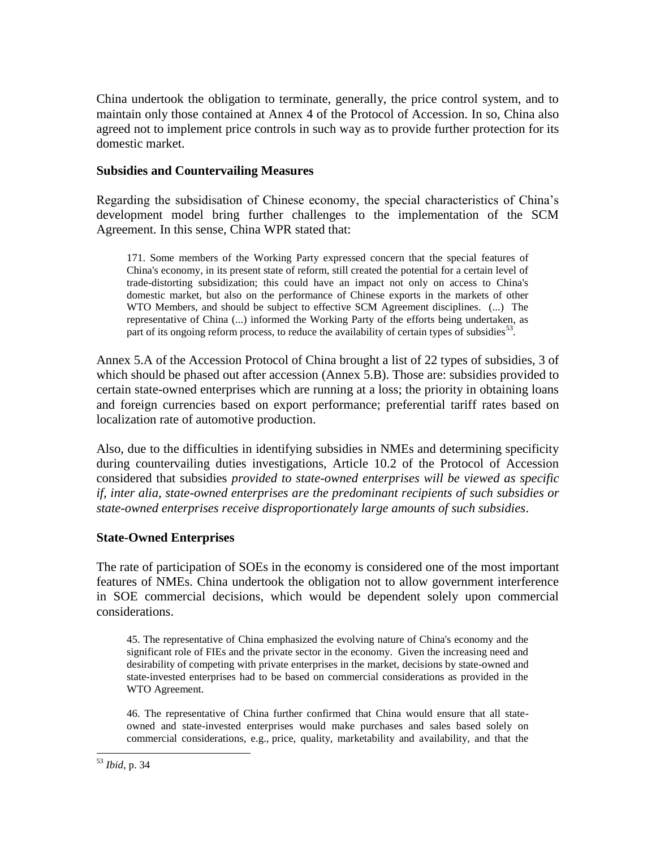China undertook the obligation to terminate, generally, the price control system, and to maintain only those contained at Annex 4 of the Protocol of Accession. In so, China also agreed not to implement price controls in such way as to provide further protection for its domestic market.

#### **Subsidies and Countervailing Measures**

Regarding the subsidisation of Chinese economy, the special characteristics of China's development model bring further challenges to the implementation of the SCM Agreement. In this sense, China WPR stated that:

171. Some members of the Working Party expressed concern that the special features of China's economy, in its present state of reform, still created the potential for a certain level of trade-distorting subsidization; this could have an impact not only on access to China's domestic market, but also on the performance of Chinese exports in the markets of other WTO Members, and should be subject to effective SCM Agreement disciplines. (...) The representative of China (...) informed the Working Party of the efforts being undertaken, as part of its ongoing reform process, to reduce the availability of certain types of subsidies $^{53}$ .

Annex 5.A of the Accession Protocol of China brought a list of 22 types of subsidies, 3 of which should be phased out after accession (Annex 5.B). Those are: subsidies provided to certain state-owned enterprises which are running at a loss; the priority in obtaining loans and foreign currencies based on export performance; preferential tariff rates based on localization rate of automotive production.

Also, due to the difficulties in identifying subsidies in NMEs and determining specificity during countervailing duties investigations, Article 10.2 of the Protocol of Accession considered that subsidies *provided to state-owned enterprises will be viewed as specific if, inter alia, state-owned enterprises are the predominant recipients of such subsidies or state-owned enterprises receive disproportionately large amounts of such subsidies*.

# **State-Owned Enterprises**

The rate of participation of SOEs in the economy is considered one of the most important features of NMEs. China undertook the obligation not to allow government interference in SOE commercial decisions, which would be dependent solely upon commercial considerations.

45. The representative of China emphasized the evolving nature of China's economy and the significant role of FIEs and the private sector in the economy. Given the increasing need and desirability of competing with private enterprises in the market, decisions by state-owned and state-invested enterprises had to be based on commercial considerations as provided in the WTO Agreement.

46. The representative of China further confirmed that China would ensure that all stateowned and state-invested enterprises would make purchases and sales based solely on commercial considerations, e.g., price, quality, marketability and availability, and that the

 $\overline{a}$ <sup>53</sup> *Ibid*, p. 34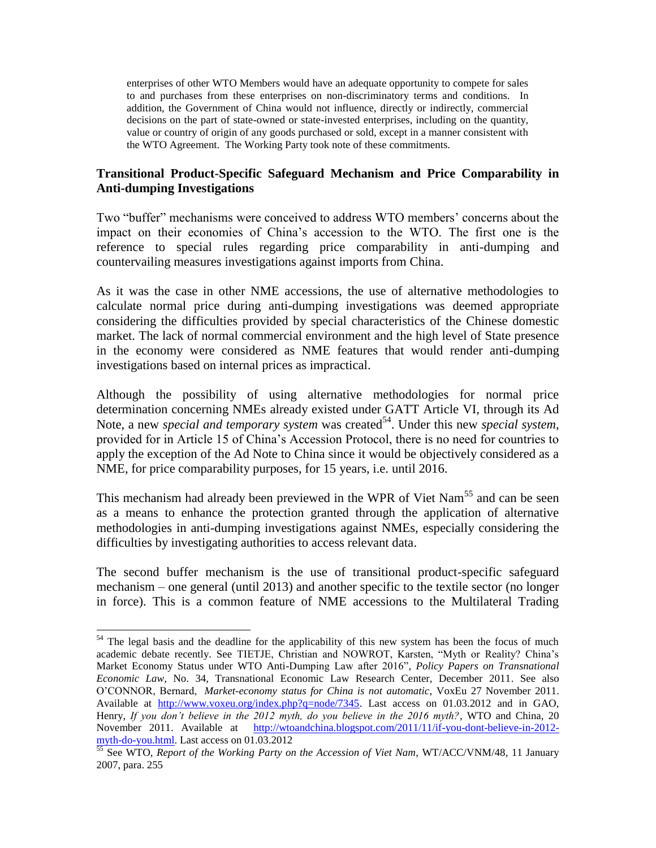enterprises of other WTO Members would have an adequate opportunity to compete for sales to and purchases from these enterprises on non-discriminatory terms and conditions. In addition, the Government of China would not influence, directly or indirectly, commercial decisions on the part of state-owned or state-invested enterprises, including on the quantity, value or country of origin of any goods purchased or sold, except in a manner consistent with the WTO Agreement. The Working Party took note of these commitments.

# **Transitional Product-Specific Safeguard Mechanism and Price Comparability in Anti-dumping Investigations**

Two "buffer" mechanisms were conceived to address WTO members' concerns about the impact on their economies of China's accession to the WTO. The first one is the reference to special rules regarding price comparability in anti-dumping and countervailing measures investigations against imports from China.

As it was the case in other NME accessions, the use of alternative methodologies to calculate normal price during anti-dumping investigations was deemed appropriate considering the difficulties provided by special characteristics of the Chinese domestic market. The lack of normal commercial environment and the high level of State presence in the economy were considered as NME features that would render anti-dumping investigations based on internal prices as impractical.

Although the possibility of using alternative methodologies for normal price determination concerning NMEs already existed under GATT Article VI, through its Ad Note, a new *special and temporary system* was created<sup>54</sup>. Under this new *special system*, provided for in Article 15 of China's Accession Protocol, there is no need for countries to apply the exception of the Ad Note to China since it would be objectively considered as a NME, for price comparability purposes, for 15 years, i.e. until 2016.

This mechanism had already been previewed in the WPR of Viet Nam<sup>55</sup> and can be seen as a means to enhance the protection granted through the application of alternative methodologies in anti-dumping investigations against NMEs, especially considering the difficulties by investigating authorities to access relevant data.

The second buffer mechanism is the use of transitional product-specific safeguard mechanism – one general (until 2013) and another specific to the textile sector (no longer in force). This is a common feature of NME accessions to the Multilateral Trading

l

 $54$  The legal basis and the deadline for the applicability of this new system has been the focus of much academic debate recently. See TIETJE, Christian and NOWROT, Karsten, "Myth or Reality? China's Market Economy Status under WTO Anti-Dumping Law after 2016", *Policy Papers on Transnational Economic Law*, No. 34, Transnational Economic Law Research Center, December 2011. See also O'CONNOR, Bernard, *Market-economy status for China is not automatic*, VoxEu 27 November 2011. Available at [http://www.voxeu.org/index.php?q=node/7345.](http://www.voxeu.org/index.php?q=node/7345) Last access on 01.03.2012 and in GAO, Henry, *If you don't believe in the 2012 myth, do you believe in the 2016 myth?*, WTO and China, 20 November 2011. Available at [http://wtoandchina.blogspot.com/2011/11/if-you-dont-believe-in-2012](http://wtoandchina.blogspot.com/2011/11/if-you-dont-believe-in-2012-myth-do-you.html) [myth-do-you.html.](http://wtoandchina.blogspot.com/2011/11/if-you-dont-believe-in-2012-myth-do-you.html) Last access on 01.03.2012

<sup>55</sup> See WTO, *Report of the Working Party on the Accession of Viet Nam*, WT/ACC/VNM/48*,* 11 January 2007, para. 255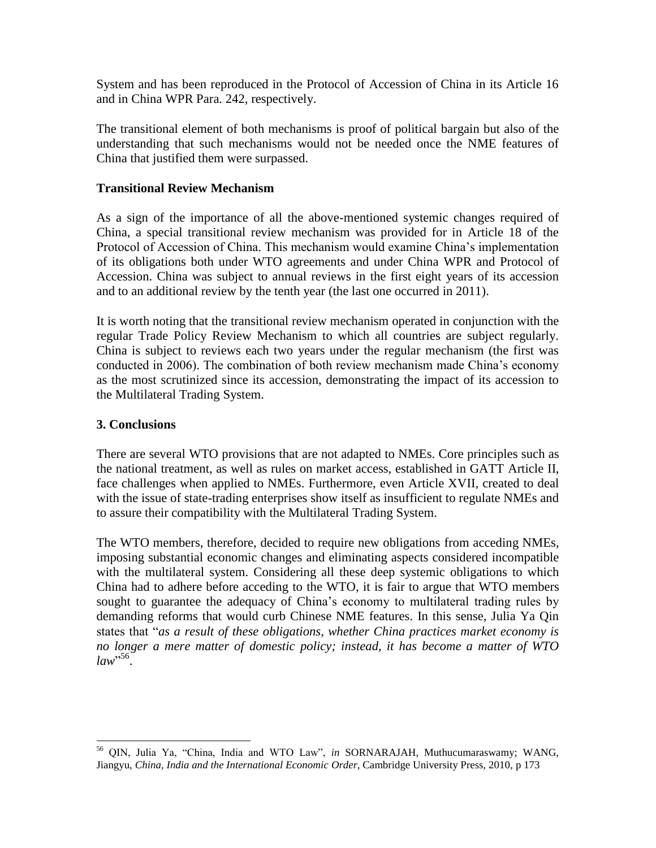System and has been reproduced in the Protocol of Accession of China in its Article 16 and in China WPR Para. 242, respectively.

The transitional element of both mechanisms is proof of political bargain but also of the understanding that such mechanisms would not be needed once the NME features of China that justified them were surpassed.

#### **Transitional Review Mechanism**

As a sign of the importance of all the above-mentioned systemic changes required of China, a special transitional review mechanism was provided for in Article 18 of the Protocol of Accession of China. This mechanism would examine China's implementation of its obligations both under WTO agreements and under China WPR and Protocol of Accession. China was subject to annual reviews in the first eight years of its accession and to an additional review by the tenth year (the last one occurred in 2011).

It is worth noting that the transitional review mechanism operated in conjunction with the regular Trade Policy Review Mechanism to which all countries are subject regularly. China is subject to reviews each two years under the regular mechanism (the first was conducted in 2006). The combination of both review mechanism made China's economy as the most scrutinized since its accession, demonstrating the impact of its accession to the Multilateral Trading System.

#### **3. Conclusions**

There are several WTO provisions that are not adapted to NMEs. Core principles such as the national treatment, as well as rules on market access, established in GATT Article II, face challenges when applied to NMEs. Furthermore, even Article XVII, created to deal with the issue of state-trading enterprises show itself as insufficient to regulate NMEs and to assure their compatibility with the Multilateral Trading System.

The WTO members, therefore, decided to require new obligations from acceding NMEs, imposing substantial economic changes and eliminating aspects considered incompatible with the multilateral system. Considering all these deep systemic obligations to which China had to adhere before acceding to the WTO, it is fair to argue that WTO members sought to guarantee the adequacy of China's economy to multilateral trading rules by demanding reforms that would curb Chinese NME features. In this sense, Julia Ya Qin states that "*as a result of these obligations, whether China practices market economy is no longer a mere matter of domestic policy; instead, it has become a matter of WTO law*" 56 .

l <sup>56</sup> QIN, Julia Ya, "China, India and WTO Law", *in* SORNARAJAH, Muthucumaraswamy; WANG, Jiangyu, *China, India and the International Economic Order*, Cambridge University Press, 2010, p 173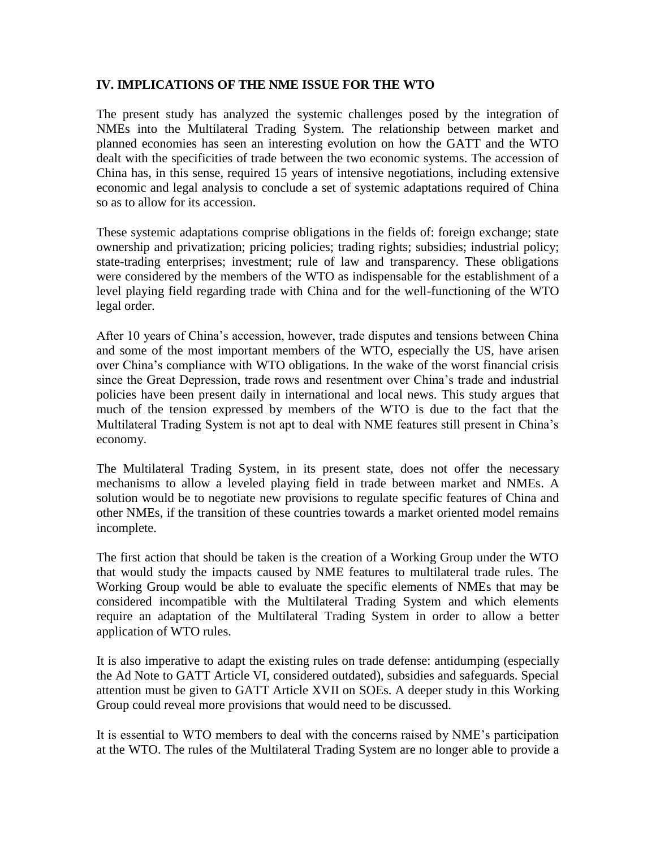#### **IV. IMPLICATIONS OF THE NME ISSUE FOR THE WTO**

The present study has analyzed the systemic challenges posed by the integration of NMEs into the Multilateral Trading System. The relationship between market and planned economies has seen an interesting evolution on how the GATT and the WTO dealt with the specificities of trade between the two economic systems. The accession of China has, in this sense, required 15 years of intensive negotiations, including extensive economic and legal analysis to conclude a set of systemic adaptations required of China so as to allow for its accession.

These systemic adaptations comprise obligations in the fields of: foreign exchange; state ownership and privatization; pricing policies; trading rights; subsidies; industrial policy; state-trading enterprises; investment; rule of law and transparency. These obligations were considered by the members of the WTO as indispensable for the establishment of a level playing field regarding trade with China and for the well-functioning of the WTO legal order.

After 10 years of China's accession, however, trade disputes and tensions between China and some of the most important members of the WTO, especially the US, have arisen over China's compliance with WTO obligations. In the wake of the worst financial crisis since the Great Depression, trade rows and resentment over China's trade and industrial policies have been present daily in international and local news. This study argues that much of the tension expressed by members of the WTO is due to the fact that the Multilateral Trading System is not apt to deal with NME features still present in China's economy.

The Multilateral Trading System, in its present state, does not offer the necessary mechanisms to allow a leveled playing field in trade between market and NMEs. A solution would be to negotiate new provisions to regulate specific features of China and other NMEs, if the transition of these countries towards a market oriented model remains incomplete.

The first action that should be taken is the creation of a Working Group under the WTO that would study the impacts caused by NME features to multilateral trade rules. The Working Group would be able to evaluate the specific elements of NMEs that may be considered incompatible with the Multilateral Trading System and which elements require an adaptation of the Multilateral Trading System in order to allow a better application of WTO rules.

It is also imperative to adapt the existing rules on trade defense: antidumping (especially the Ad Note to GATT Article VI, considered outdated), subsidies and safeguards. Special attention must be given to GATT Article XVII on SOEs. A deeper study in this Working Group could reveal more provisions that would need to be discussed.

It is essential to WTO members to deal with the concerns raised by NME's participation at the WTO. The rules of the Multilateral Trading System are no longer able to provide a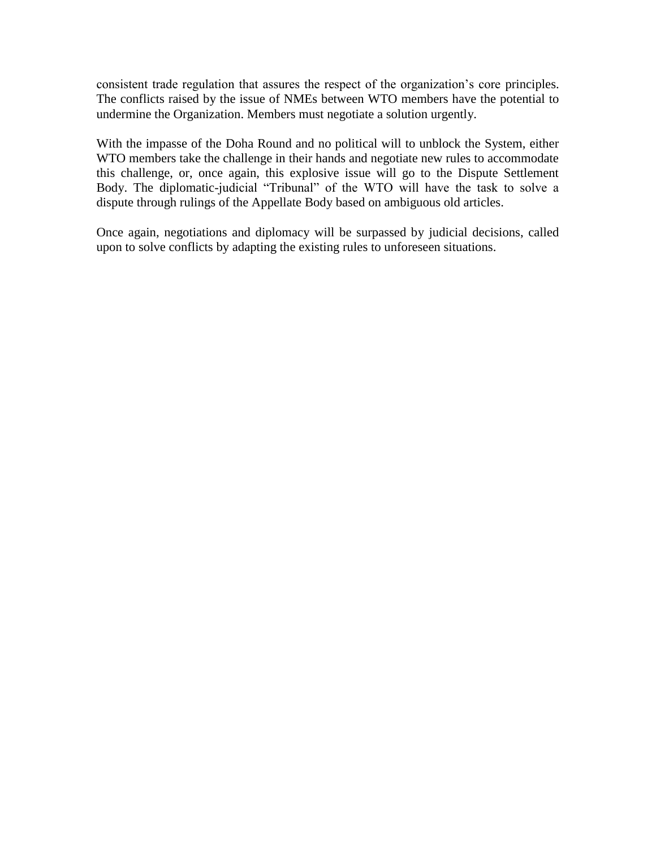consistent trade regulation that assures the respect of the organization's core principles. The conflicts raised by the issue of NMEs between WTO members have the potential to undermine the Organization. Members must negotiate a solution urgently.

With the impasse of the Doha Round and no political will to unblock the System, either WTO members take the challenge in their hands and negotiate new rules to accommodate this challenge, or, once again, this explosive issue will go to the Dispute Settlement Body. The diplomatic-judicial "Tribunal" of the WTO will have the task to solve a dispute through rulings of the Appellate Body based on ambiguous old articles.

Once again, negotiations and diplomacy will be surpassed by judicial decisions, called upon to solve conflicts by adapting the existing rules to unforeseen situations.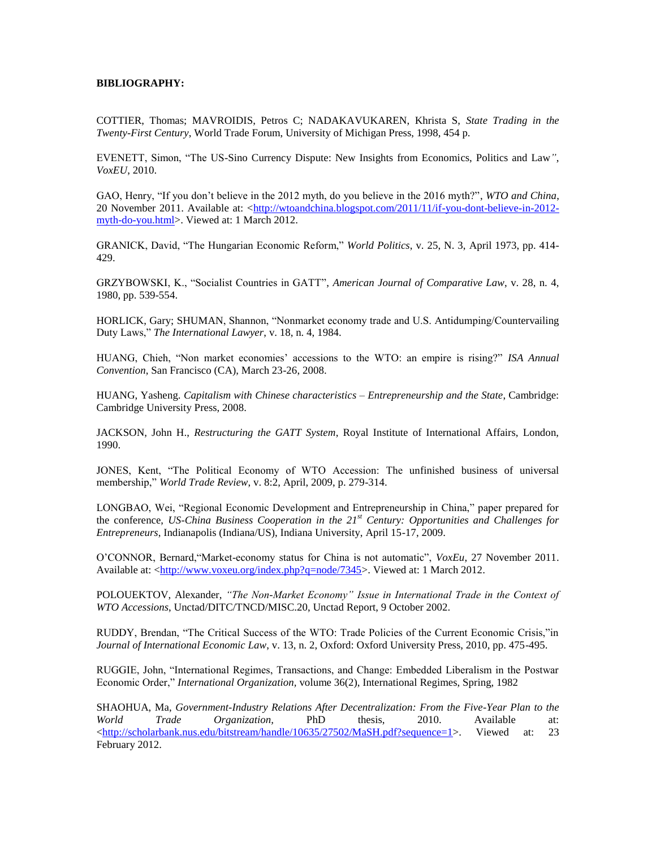#### **BIBLIOGRAPHY:**

COTTIER, Thomas; MAVROIDIS, Petros C; NADAKAVUKAREN, Khrista S, *State Trading in the Twenty-First Century*, World Trade Forum, University of Michigan Press, 1998, 454 p.

EVENETT, Simon, "The US-Sino Currency Dispute: New Insights from Economics, Politics and Law*"*, *VoxEU*, 2010.

GAO, Henry, "If you don't believe in the 2012 myth, do you believe in the 2016 myth?", *WTO and China*, 20 November 2011. Available at: [<http://wtoandchina.blogspot.com/2011/11/if-you-dont-believe-in-2012](http://wtoandchina.blogspot.com/2011/11/if-you-dont-believe-in-2012-myth-do-you.html) [myth-do-you.html>](http://wtoandchina.blogspot.com/2011/11/if-you-dont-believe-in-2012-myth-do-you.html). Viewed at: 1 March 2012.

GRANICK, David, "The Hungarian Economic Reform," *World Politics*, v. 25, N. 3, April 1973, pp. 414- 429.

GRZYBOWSKI, K., "Socialist Countries in GATT", *American Journal of Comparative Law*, v. 28, n. 4, 1980, pp. 539-554.

HORLICK, Gary; SHUMAN, Shannon, "Nonmarket economy trade and U.S. Antidumping/Countervailing Duty Laws," *The International Lawyer*, v. 18, n. 4, 1984.

HUANG, Chieh, "Non market economies' accessions to the WTO: an empire is rising?" *ISA Annual Convention*, San Francisco (CA), March 23-26, 2008.

HUANG, Yasheng. *Capitalism with Chinese characteristics – Entrepreneurship and the State*, Cambridge: Cambridge University Press, 2008.

JACKSON, John H., *Restructuring the GATT System*, Royal Institute of International Affairs, London, 1990.

JONES, Kent, "The Political Economy of WTO Accession: The unfinished business of universal membership," *World Trade Review*, v. 8:2, April, 2009, p. 279-314.

LONGBAO, Wei, "Regional Economic Development and Entrepreneurship in China," paper prepared for the conference, *US-China Business Cooperation in the 21st Century: Opportunities and Challenges for Entrepreneurs*, Indianapolis (Indiana/US), Indiana University, April 15-17, 2009.

O'CONNOR, Bernard,"Market-economy status for China is not automatic", *VoxEu*, 27 November 2011. Available at: [<http://www.voxeu.org/index.php?q=node/7345>](http://www.voxeu.org/index.php?q=node/7345). Viewed at: 1 March 2012.

POLOUEKTOV, Alexander, *"The Non-Market Economy" Issue in International Trade in the Context of WTO Accessions*, Unctad/DITC/TNCD/MISC.20, Unctad Report, 9 October 2002.

RUDDY, Brendan, "The Critical Success of the WTO: Trade Policies of the Current Economic Crisis,"in *Journal of International Economic Law*, v. 13, n. 2, Oxford: Oxford University Press, 2010, pp. 475-495.

RUGGIE, John, "International Regimes, Transactions, and Change: Embedded Liberalism in the Postwar Economic Order," *International Organization,* volume 36(2), International Regimes, Spring, 1982

SHAOHUA, Ma, *Government-Industry Relations After Decentralization: From the Five-Year Plan to the World Trade Organization,* PhD thesis, 2010. Available at: [<http://scholarbank.nus.edu/bitstream/handle/10635/27502/MaSH.pdf?sequence=1>](http://scholarbank.nus.edu/bitstream/handle/10635/27502/MaSH.pdf?sequence=1). Viewed at: 23 February 2012.